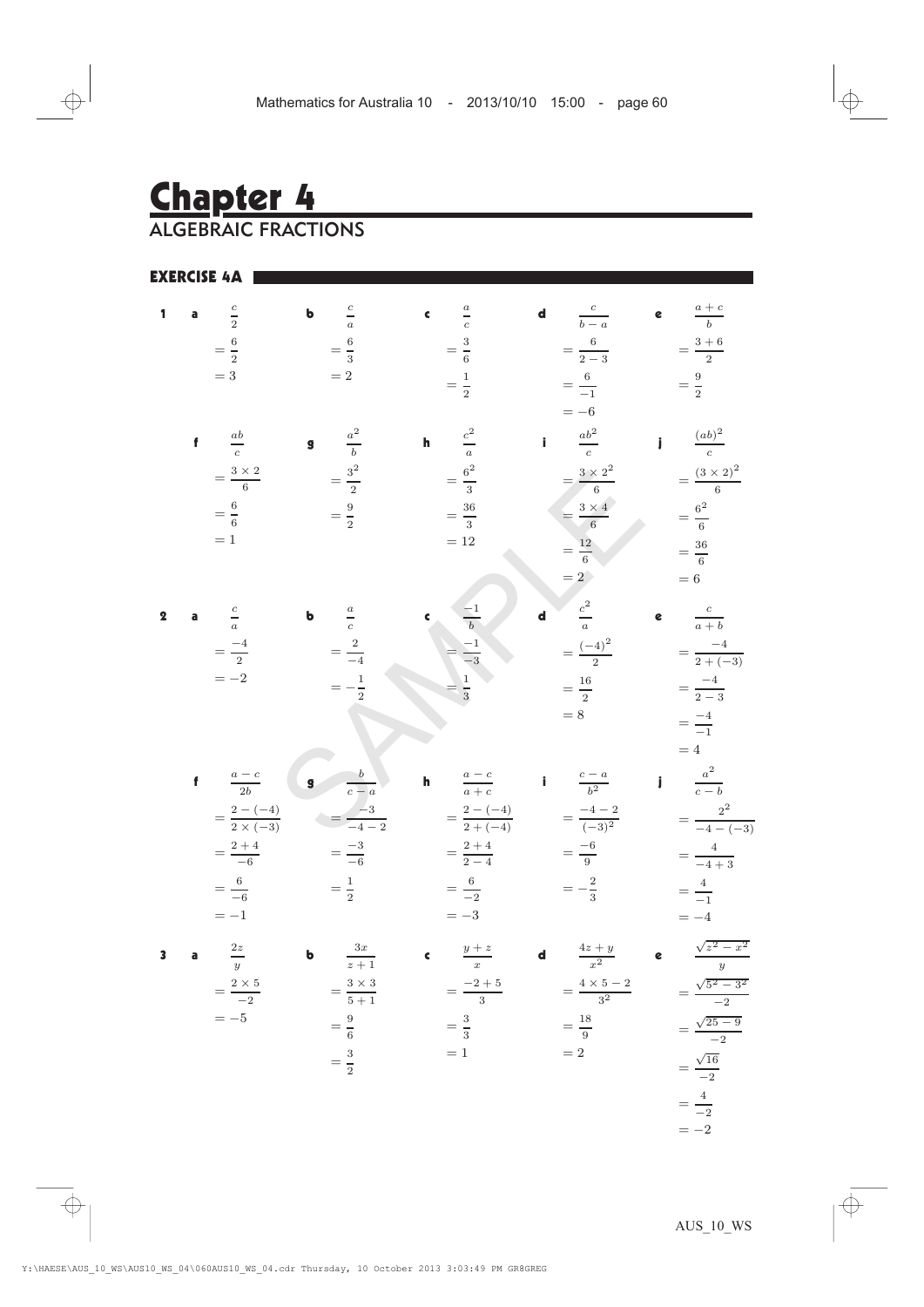# Chapter 4

ALGEBRAIC FRACTIONS

EXERCISE 4A

| $\mathbf{1}$            | a $\frac{c}{2}$                                    | <b>b</b> $\frac{c}{a}$   |                                                                          | c $\frac{a}{c}$                                 | <b>d</b> $\frac{c}{b-a}$                                                                                                              | e $\frac{a+c}{b}$         |
|-------------------------|----------------------------------------------------|--------------------------|--------------------------------------------------------------------------|-------------------------------------------------|---------------------------------------------------------------------------------------------------------------------------------------|---------------------------|
|                         | $=\frac{6}{2}$                                     | $=\frac{6}{3}$           |                                                                          | $=\frac{3}{6}$                                  | $=\frac{6}{2-3}$                                                                                                                      | $=\frac{3+6}{2}$          |
|                         | $= 3\,$                                            |                          | $=2\,$                                                                   | $=\frac{1}{2}$                                  | $=\frac{6}{-1}$<br>$=-6$                                                                                                              | $=\frac{9}{2}$            |
|                         | f $\frac{ab}{c}$                                   | <b>g</b> $\frac{a^2}{b}$ |                                                                          | <b>h</b> $\frac{c^2}{a}$                        | $\frac{ab^2}{c}$                                                                                                                      | $\int \frac{(ab)^2}{c}$   |
|                         | $=\frac{3\times2}{6}$                              |                          | $=\frac{3^2}{2}$                                                         | $=\frac{6^2}{3}$                                | $=\frac{3\times 2^2}{6}$                                                                                                              | $=\frac{(3\times2)^2}{6}$ |
|                         | $=\frac{6}{6}$                                     |                          | $=\frac{9}{2}$                                                           | $=\frac{36}{3}$                                 | $=\frac{3\times 4}{6}$                                                                                                                | $=\frac{6^2}{6}$          |
|                         | $=1$                                               |                          |                                                                          | $=12\,$                                         | $=\frac{12}{6}$                                                                                                                       | $=\frac{36}{6}$           |
|                         |                                                    |                          |                                                                          |                                                 | $=2$                                                                                                                                  | $=6\,$                    |
| $\mathbf 2$             | a $\frac{c}{a}$                                    |                          | <b>b</b> $\frac{a}{c}$                                                   | c $\frac{-1}{b}$                                | <b>d</b> $\frac{c^2}{a}$                                                                                                              | e $\frac{c}{a+b}$         |
|                         | $=\frac{-4}{2}$<br>$=-2$                           |                          | $=\frac{2}{-4}$                                                          | $\frac{-1}{-3}$                                 | $=\frac{(-4)^2}{2}$                                                                                                                   | $=\frac{-4}{2+(-3)}$      |
|                         |                                                    |                          | $=-\frac{1}{2}$                                                          | $\frac{1}{3}$                                   | $=\frac{16}{2}$                                                                                                                       | $=\frac{-4}{2-3}$         |
|                         |                                                    |                          |                                                                          |                                                 | $=8\,$                                                                                                                                | $=\frac{-4}{-1}$<br>$=4$  |
|                         | f $\frac{a-c}{2b}$                                 |                          | $\begin{array}{ c c } \hline \mathbf{g} & \hline \hline c-a \end{array}$ |                                                 | <b>h</b> $\frac{a-c}{a+c}$ <b>i</b> $\frac{c-a}{b^2}$ <b>j</b> $\frac{a^2}{c-b}$                                                      |                           |
|                         | $=\frac{2-(-4)}{2 \times (-3)}$ $=\frac{-3}{-4-2}$ |                          |                                                                          | $=\frac{2-(-4)}{2+(-4)}$ $=\frac{-4-2}{(-3)^2}$ |                                                                                                                                       | $=\frac{2^2}{-4-(-3)}$    |
|                         | $=\frac{2+4}{-6}$                                  |                          | $=\frac{-3}{-6}$                                                         | $=\frac{2+4}{2-4}$                              | $=\frac{-6}{9}$                                                                                                                       | $=\frac{4}{-4+3}$         |
|                         | $=\frac{6}{-6}$                                    |                          | $=\frac{1}{2}$                                                           | $=\frac{6}{-2}$                                 | $=-\frac{2}{3}$                                                                                                                       | $=\frac{4}{-1}$           |
|                         | $=-1$                                              |                          |                                                                          | $=-3$                                           |                                                                                                                                       | $=-4$                     |
| $\overline{\mathbf{3}}$ | a $\frac{2z}{y}$                                   |                          | <b>b</b> $\frac{3x}{z+1}$                                                | $\frac{y+z}{x}$                                 | <b>d</b> $\frac{4z + y}{x^2}$ <b>e</b> $\frac{\sqrt{z^2 - x^2}}{y}$<br>= $\frac{4 \times 5 - 2}{3^2}$ = $\frac{\sqrt{5^2 - 3^2}}{-2}$ |                           |
|                         | $=\frac{2\times 5}{-2}$                            |                          | $=\frac{3\times3}{5+1}$                                                  | $=\frac{-2+5}{3}$<br>$\overline{3}$             |                                                                                                                                       |                           |
|                         | $=-5$                                              |                          | $=\frac{9}{6}$                                                           | $=\frac{3}{3}$                                  | $=\frac{18}{9}$                                                                                                                       | $=\frac{\sqrt{25-9}}{-2}$ |
|                         |                                                    |                          | $=\frac{3}{2}$                                                           | $=1$                                            | $=2$                                                                                                                                  | $=\frac{\sqrt{16}}{-2}$   |
|                         |                                                    |                          |                                                                          |                                                 |                                                                                                                                       | $=\frac{4}{2}$            |
|                         |                                                    |                          |                                                                          |                                                 |                                                                                                                                       |                           |

 $=-2$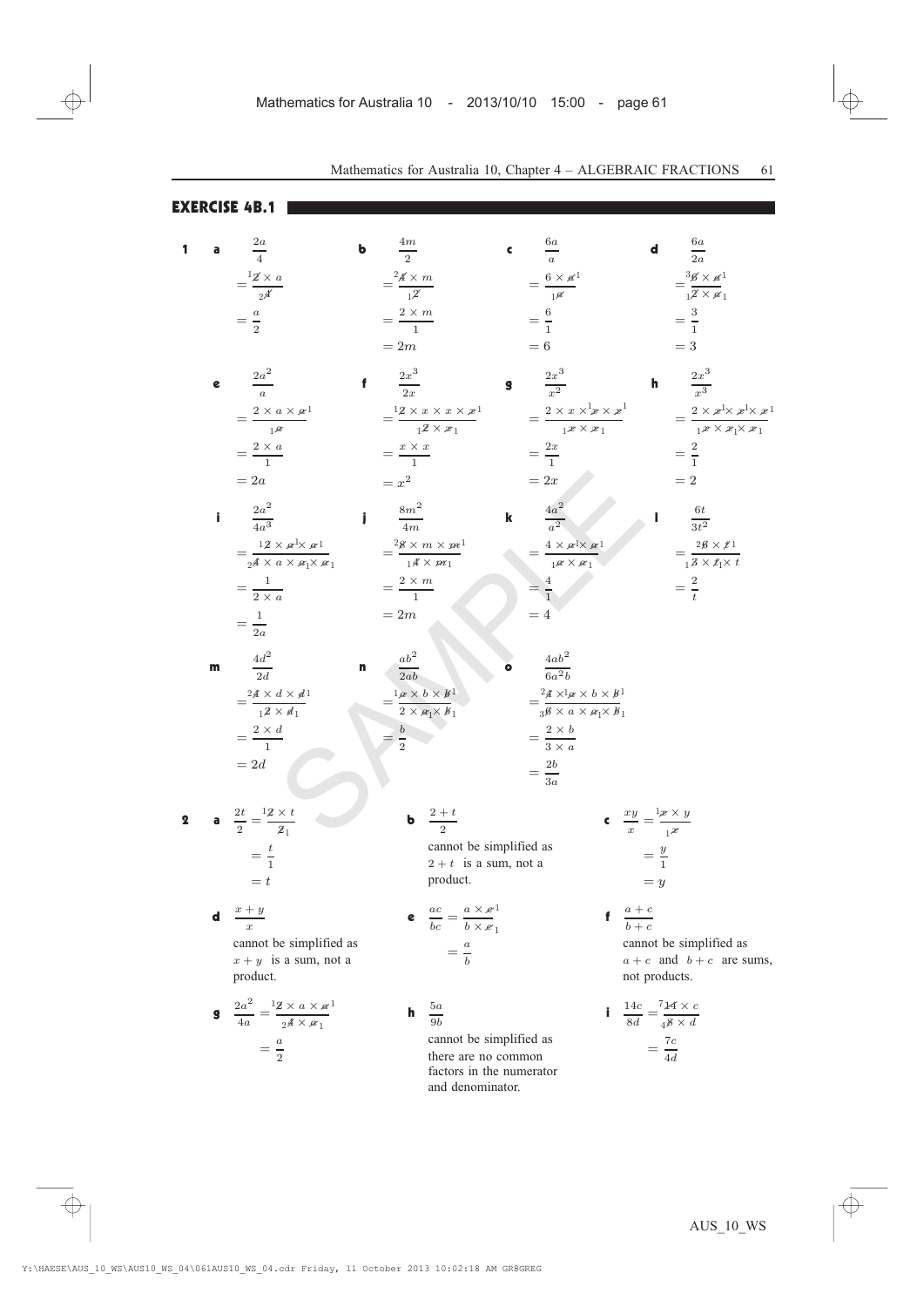EXERCISE 4B.1

| 1           | a  | $rac{2a}{4}$                                                                                                    | b | $rac{4m}{2}$                                                                                             | ¢ | $rac{6a}{a}$                                                                                                                                                             | $\mathbf d$                                                      | $\frac{6a}{2a}$                                                                                 |                               |
|-------------|----|-----------------------------------------------------------------------------------------------------------------|---|----------------------------------------------------------------------------------------------------------|---|--------------------------------------------------------------------------------------------------------------------------------------------------------------------------|------------------------------------------------------------------|-------------------------------------------------------------------------------------------------|-------------------------------|
|             |    | $=\frac{12\times a}{\sqrt{4}}$                                                                                  |   | $=\frac{2\underline{\mathscr{A}}\times m}{\underline{\mathscr{A}}}$                                      |   | $= \frac{6 \times \mathscr{A}^1}{1 \mathscr{A}}$                                                                                                                         |                                                                  | $=\frac{3\cancel{6} \times \cancel{a}^1}{12 \times \cancel{a}_1}$                               |                               |
|             |    |                                                                                                                 |   |                                                                                                          |   |                                                                                                                                                                          |                                                                  |                                                                                                 |                               |
|             |    | $=\frac{a}{2}$                                                                                                  |   | $=\frac{2\times m}{1}$                                                                                   |   | $=\frac{6}{1}$                                                                                                                                                           |                                                                  | $=\frac{3}{1}$                                                                                  |                               |
|             |    |                                                                                                                 |   | $=2m$                                                                                                    |   | $=6$                                                                                                                                                                     |                                                                  | $=$ 3                                                                                           |                               |
|             | e  | $\frac{2a^2}{a}$                                                                                                |   | $\frac{2x^3}{2x}$                                                                                        | 9 | $\frac{2x^3}{x^2}$                                                                                                                                                       | h                                                                | $\frac{2x^3}{x^3}$                                                                              |                               |
|             |    | $=\frac{2\times a\times\mathbf{a}^1}{1\mathbf{a}}$                                                              |   | $=\frac{12 \times x \times x \times x^1}{12 \times x_1}$                                                 |   | $= \frac{2 \times x \times^1 x \times x^1}{1 x \times x^1}$                                                                                                              |                                                                  |                                                                                                 |                               |
|             |    | $=\frac{2\times a}{1}$                                                                                          |   | $=\frac{x \times x}{1}$                                                                                  |   | $=\frac{2x}{1}$                                                                                                                                                          |                                                                  | $=\frac{2}{1}$                                                                                  |                               |
|             |    | $=2a$                                                                                                           |   | $= x^2$                                                                                                  |   | $=2x$                                                                                                                                                                    |                                                                  | $=2$                                                                                            |                               |
|             |    |                                                                                                                 |   |                                                                                                          |   |                                                                                                                                                                          |                                                                  |                                                                                                 |                               |
|             | i. | $\frac{2a^2}{4a^3}$                                                                                             |   | $\frac{8m^2}{4m}$                                                                                        | k | $\frac{4a^2}{a^2}$                                                                                                                                                       |                                                                  | $\frac{6t}{3t^2}$                                                                               |                               |
|             |    | $=\frac{12\times\mathscr{A}^1\!\!\times\mathscr{A}^1}{2^{A}\times a\times\mathscr{A}_1\!\!\times\mathscr{A}_1}$ |   | $=\frac{28\times m\times m^1}{14\times m_1}$                                                             |   | $=\frac{4\times a\mathbf{1}\times a\mathbf{1}}{\mathbf{1}^{\alpha}\times\mathbf{1}}$                                                                                     |                                                                  | $=\frac{2\cancel{6} \times \cancel{t}_1}{1 \cancel{3} \times \cancel{t}_1 \times \cancel{t}_1}$ |                               |
|             |    |                                                                                                                 |   |                                                                                                          |   |                                                                                                                                                                          |                                                                  |                                                                                                 |                               |
|             |    | $=\frac{1}{2\times a}$                                                                                          |   | $=\frac{2\times m}{1}$                                                                                   |   | $=\frac{4}{1}$                                                                                                                                                           |                                                                  | $=\frac{2}{t}$                                                                                  |                               |
|             |    | $=\frac{1}{2a}$                                                                                                 |   | $=2m$                                                                                                    |   | $=4$                                                                                                                                                                     |                                                                  |                                                                                                 |                               |
|             |    |                                                                                                                 |   |                                                                                                          |   |                                                                                                                                                                          |                                                                  |                                                                                                 |                               |
|             | m  | $\frac{4d^2}{2d}$                                                                                               | n | $ab^2$<br>$\frac{1}{2ab}$                                                                                |   | $\frac{4ab^2}{6a^2b}$                                                                                                                                                    |                                                                  |                                                                                                 |                               |
|             |    | $=\frac{24\times d\times d}{1^2\times d_1}$                                                                     |   | $=\hspace{-1mm}\dfrac{1_{\mathscr{A}}\times b\times b^{1}}{2\times\mathscr{A}_{1}\times\mathscr{B}_{1}}$ |   | $=\frac{2\underline{A}\times\mathbf{l}_{\mathscr{A}}\times\mathscr{b}\times\mathscr{B}}{3\overline{\mathscr{B}}\times\mathscr{a}\times\mathscr{A}_1\times\mathscr{B}_1}$ |                                                                  |                                                                                                 |                               |
|             |    |                                                                                                                 |   | $=\frac{b}{2}$                                                                                           |   |                                                                                                                                                                          |                                                                  |                                                                                                 |                               |
|             |    | $=\frac{2\times d}{1}$                                                                                          |   |                                                                                                          |   | $=\frac{2\times b}{3\times a}$                                                                                                                                           |                                                                  |                                                                                                 |                               |
|             |    | $=2d$                                                                                                           |   |                                                                                                          |   | $=\frac{2b}{3a}$                                                                                                                                                         |                                                                  |                                                                                                 |                               |
|             |    |                                                                                                                 |   |                                                                                                          |   |                                                                                                                                                                          |                                                                  |                                                                                                 |                               |
| $\mathbf 2$ |    | <b>a</b> $\frac{2t}{2} = \frac{12 \times t}{2}$                                                                 |   | <b>b</b> $\frac{2+t}{2}$                                                                                 |   |                                                                                                                                                                          | $\int_{-\infty}^{\infty} \frac{xy}{x} = \frac{1x \times y}{1^x}$ |                                                                                                 |                               |
|             |    | $=\frac{t}{1}$                                                                                                  |   | cannot be simplified as                                                                                  |   |                                                                                                                                                                          |                                                                  |                                                                                                 |                               |
|             |    |                                                                                                                 |   | $2 + t$ is a sum, not a                                                                                  |   |                                                                                                                                                                          | $=\frac{y}{1}$                                                   |                                                                                                 |                               |
|             |    | $= t$                                                                                                           |   | product.                                                                                                 |   |                                                                                                                                                                          | $=y$                                                             |                                                                                                 |                               |
|             | d  | $x + y$<br>$\boldsymbol{x}$                                                                                     |   | <b>e</b> $\frac{ac}{bc} = \frac{a \times e^1}{b \times e_1}$                                             |   |                                                                                                                                                                          | $\frac{a+c}{a+c}$<br>$b + c$                                     |                                                                                                 |                               |
|             |    | cannot be simplified as                                                                                         |   |                                                                                                          |   |                                                                                                                                                                          |                                                                  | cannot be simplified as                                                                         |                               |
|             |    | $x + y$ is a sum, not a                                                                                         |   | $=\frac{a}{b}$                                                                                           |   |                                                                                                                                                                          |                                                                  |                                                                                                 | $a + c$ and $b + c$ are sums, |
|             |    | product.                                                                                                        |   |                                                                                                          |   |                                                                                                                                                                          | not products.                                                    |                                                                                                 |                               |
|             |    | <b>g</b> $\frac{2a^2}{4a} = \frac{12 \times a \times a}{24 \times a}$                                           |   | $\frac{5a}{9b}$<br>h                                                                                     |   |                                                                                                                                                                          | <b>i</b> $\frac{14c}{8d} = \frac{714 \times c}{48 \times d}$     |                                                                                                 |                               |
|             |    |                                                                                                                 |   | cannot be simplified as                                                                                  |   |                                                                                                                                                                          |                                                                  |                                                                                                 |                               |
|             |    | $=\frac{a}{2}$                                                                                                  |   | there are no common                                                                                      |   |                                                                                                                                                                          | $=\frac{7c}{4d}$                                                 |                                                                                                 |                               |

factors in the numerator and denominator.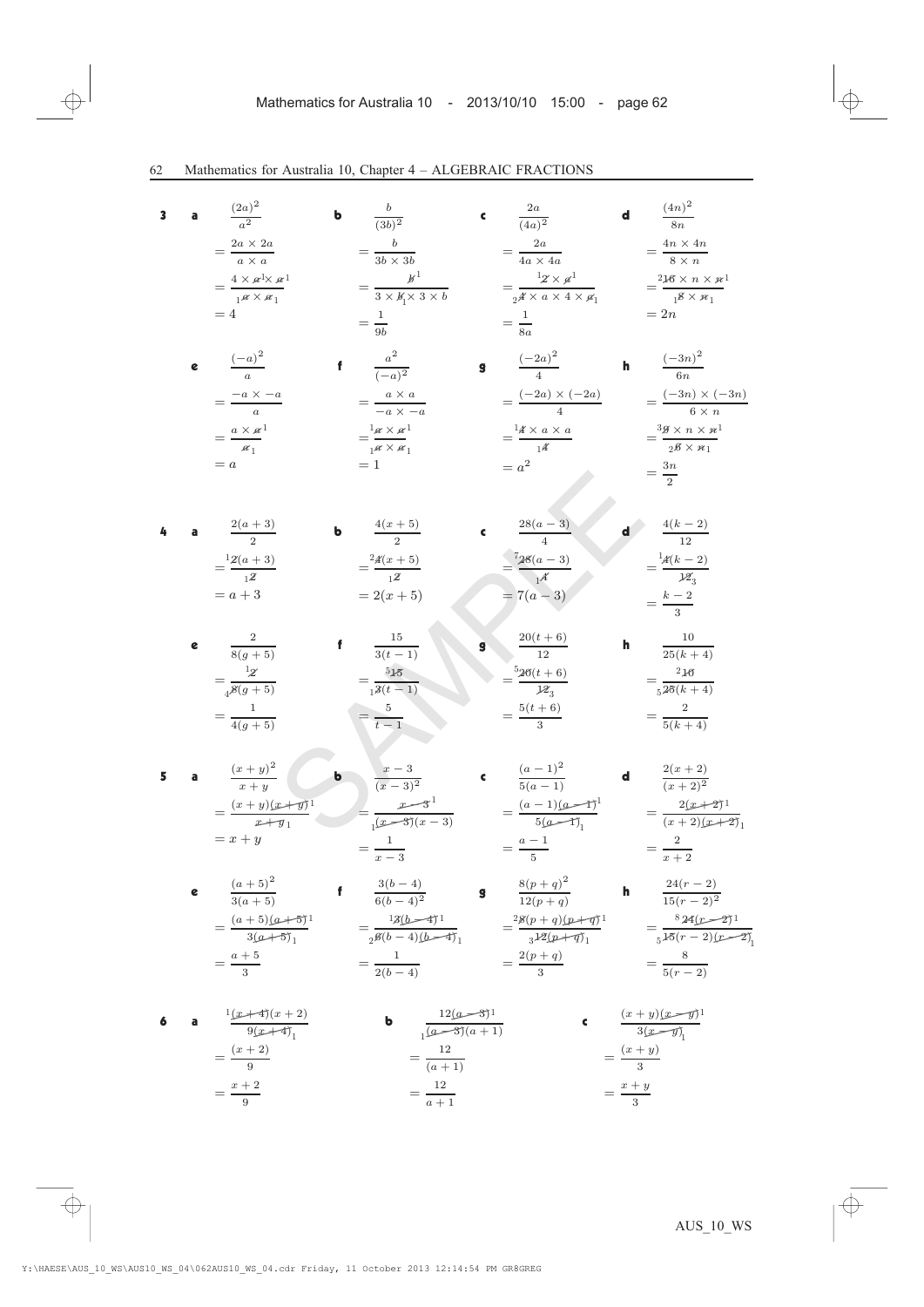3 a (2a) 2 a2 <sup>=</sup> <sup>2</sup><sup>a</sup> £ <sup>2</sup><sup>a</sup> <sup>a</sup> £ <sup>a</sup> = 4 <sup>b</sup> <sup>b</sup> (3b)<sup>2</sup> <sup>=</sup> <sup>b</sup> <sup>3</sup><sup>b</sup> £ <sup>3</sup><sup>b</sup> <sup>=</sup> <sup>b</sup> <sup>3</sup> £ <sup>b</sup> £ <sup>3</sup> £ <sup>b</sup> <sup>=</sup> <sup>1</sup> 9b <sup>c</sup> <sup>2</sup><sup>a</sup> (4a)<sup>2</sup> <sup>=</sup> <sup>2</sup><sup>a</sup> <sup>4</sup><sup>a</sup> £ <sup>4</sup><sup>a</sup> <sup>=</sup> <sup>2</sup> £ <sup>a</sup> <sup>4</sup> £ <sup>a</sup> £ <sup>4</sup> £ <sup>a</sup> <sup>=</sup> <sup>1</sup> 8a <sup>d</sup> (4n) 2 8n <sup>=</sup> <sup>4</sup><sup>n</sup> £ <sup>4</sup><sup>n</sup> <sup>8</sup> £ <sup>n</sup> = 2n <sup>e</sup> (¡a) 2 a <sup>=</sup> ¡<sup>a</sup> £ ¡<sup>a</sup> a = a <sup>f</sup> <sup>a</sup><sup>2</sup> (¡a)<sup>2</sup> <sup>=</sup> <sup>a</sup> £ <sup>a</sup> ¡<sup>a</sup> £ ¡<sup>a</sup> = 1 <sup>g</sup> (¡2a) 2 4 <sup>=</sup> (¡2a) £ (¡2a) 4 = a<sup>2</sup> <sup>h</sup> (¡3n) 2 6n <sup>=</sup> (¡3n) £ (¡3n) <sup>6</sup> £ <sup>n</sup> <sup>=</sup> <sup>3</sup><sup>n</sup> 2 4 a 2(<sup>a</sup> + 3) 2 = a + 3 <sup>b</sup> 4(<sup>x</sup> + 5) 2 = 2(x + 5) <sup>c</sup> 28(<sup>a</sup> ¡ 3) 4 <sup>=</sup> 28(<sup>a</sup> ¡ 3) 4 = 7(<sup>a</sup> ¡ 3) <sup>d</sup> 4(<sup>k</sup> ¡ 2) 12 <sup>=</sup> 4(<sup>k</sup> ¡ 2) 12 <sup>=</sup> <sup>k</sup> ¡ <sup>2</sup> 3 e 2 8(g + 5) <sup>=</sup> <sup>2</sup> 8(g + 5) <sup>=</sup> <sup>1</sup> 4(g + 5) <sup>f</sup> <sup>15</sup> 3(<sup>t</sup> ¡ 1) <sup>=</sup> <sup>5</sup> <sup>t</sup> ¡ <sup>1</sup> <sup>g</sup> 20(<sup>t</sup> + 6) 12 <sup>=</sup> 20(<sup>t</sup> + 6) 12 <sup>=</sup> 5(<sup>t</sup> + 6) 3 <sup>h</sup> <sup>10</sup> 25(k + 4) <sup>=</sup> <sup>2</sup> 5(k + 4) 5 a (<sup>x</sup> <sup>+</sup> <sup>y</sup>) 2 x + y = x + y <sup>b</sup> <sup>x</sup> ¡ <sup>3</sup> (<sup>x</sup> ¡ 3)<sup>2</sup> <sup>=</sup> <sup>x</sup> ¡ <sup>3</sup> (<sup>x</sup> ¡ 3)(<sup>x</sup> ¡ 3) <sup>=</sup> <sup>1</sup> <sup>x</sup> ¡ <sup>3</sup> <sup>c</sup> (<sup>a</sup> ¡ 1)<sup>2</sup> 5(<sup>a</sup> ¡ 1) <sup>=</sup> (<sup>a</sup> ¡ 1)(<sup>a</sup> ¡ 1) 5(<sup>a</sup> ¡ 1) <sup>=</sup> <sup>a</sup> ¡ <sup>1</sup> 5 <sup>d</sup> 2(<sup>x</sup> + 2) (x + 2)<sup>2</sup> <sup>=</sup> <sup>2</sup> x + 2 <sup>e</sup> (<sup>a</sup> + 5)<sup>2</sup> 3(a + 5) <sup>=</sup> <sup>a</sup> + 5 3 <sup>f</sup> 3(<sup>b</sup> ¡ 4) 6(<sup>b</sup> ¡ 4)<sup>2</sup> <sup>=</sup> <sup>1</sup> 2(<sup>b</sup> ¡ 4) <sup>g</sup> 8(<sup>p</sup> <sup>+</sup> <sup>q</sup>) 2 12(p + q) <sup>=</sup> 2(<sup>p</sup> <sup>+</sup> <sup>q</sup>) 3 <sup>h</sup> 24(<sup>r</sup> ¡ 2) 15(<sup>r</sup> ¡ 2)<sup>2</sup> <sup>=</sup> <sup>8</sup> 5(<sup>r</sup> ¡ 2) <sup>=</sup> <sup>4</sup> £ <sup>a</sup> £ <sup>a</sup> <sup>a</sup> £ <sup>a</sup> <sup>1</sup> <sup>1</sup> 1 1 <sup>=</sup> <sup>a</sup> £ <sup>a</sup> a 1 1 <sup>=</sup> <sup>a</sup> £ <sup>a</sup> <sup>a</sup> £ <sup>a</sup> 1 1 1 1 <sup>=</sup> <sup>16</sup> £ <sup>n</sup> £ <sup>n</sup> <sup>8</sup> £ <sup>n</sup> 1 1 1 2 <sup>=</sup> <sup>4</sup> £ <sup>a</sup> £ <sup>a</sup> 14 1 <sup>=</sup> <sup>9</sup> £ <sup>n</sup> £ <sup>n</sup> <sup>2</sup><sup>6</sup> £ <sup>n</sup> 3 1 1 <sup>=</sup> 2(<sup>a</sup> + 3) 2 1 1 <sup>=</sup> 4(<sup>x</sup> + 5) 12 2 <sup>=</sup> <sup>10</sup> 25(k + 4) 2 5 <sup>=</sup> (<sup>x</sup> <sup>+</sup> <sup>y</sup>)(<sup>x</sup> <sup>+</sup> <sup>y</sup>) x + y 1 1 <sup>=</sup> (<sup>a</sup> + 5)(<sup>a</sup> + 5) 3(a + 5) 1 1 <sup>=</sup> 3(<sup>b</sup> ¡ 4) 6(<sup>b</sup> ¡ 4)(<sup>b</sup> ¡ 4) 1 1 1 2 <sup>=</sup> 8(<sup>p</sup> <sup>+</sup> <sup>q</sup>)(<sup>p</sup> <sup>+</sup> <sup>q</sup>) 12(p + q) 1 1 2 3 <sup>=</sup> 24(<sup>r</sup> ¡ 2) 15(<sup>r</sup> ¡ 2)(<sup>r</sup> ¡ 2) 1 1 8 5 <sup>=</sup> 2(<sup>x</sup> + 2) (x + 2)(x + 2) 1 1 <sup>=</sup> <sup>15</sup> <sup>1</sup>3(<sup>t</sup> ¡ 1) 5 (x + 4)(x + 2) <sup>1</sup> 1 1 1 2 1 1 1 1 1 3 7 1 4 5 3 1 1 1 1 SAMPLE

6 a 
$$
\frac{1(x+4)(x+2)}{9(x+4)} = \frac{(x+2)}{9}
$$
  
\n
$$
= \frac{x+2}{9}
$$
  
\n
$$
= \frac{x+2}{9}
$$
  
\n
$$
= \frac{12}{(a+1)}
$$
  
\n
$$
= \frac{12}{(a+1)}
$$
  
\n
$$
= \frac{12}{a+1}
$$
  
\n
$$
= \frac{x+y}{3}
$$
  
\n
$$
= \frac{x+y}{3}
$$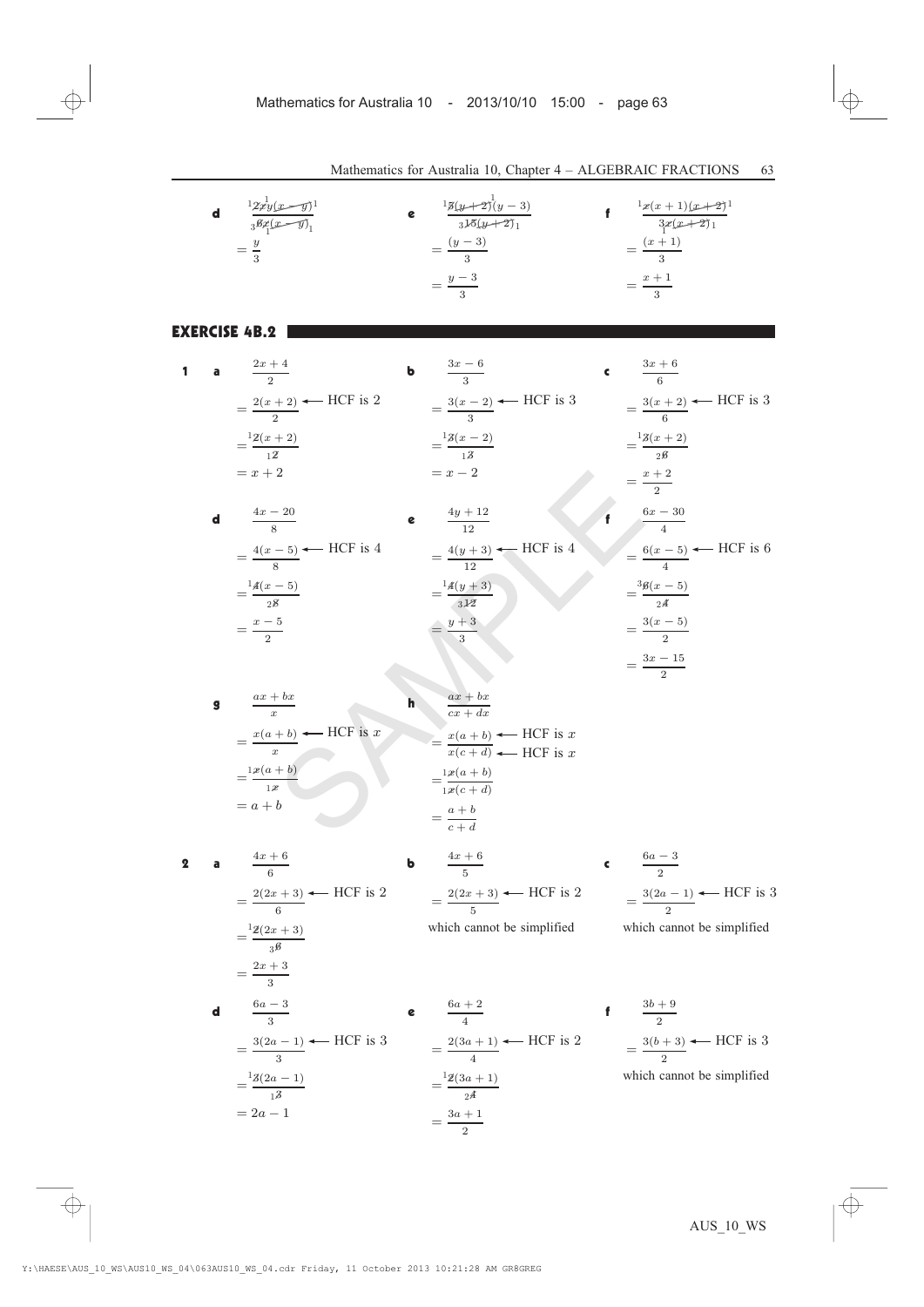|   |             | <b>d</b> $\frac{12x^1y(x-y)}{36x^2(x-y)}$                                                           |   | <b>e</b> $\frac{15(y+2)(y-3)}{315(y+2)}$<br>$=\frac{(y-3)}{2}$<br>$=\frac{y-3}{3}$                                       | f $\frac{2x(x+1)(x+2)}{3x(x+2)}$<br>$=\frac{(x+1)}{2}$<br>$=\frac{x+1}{3}$                            |
|---|-------------|-----------------------------------------------------------------------------------------------------|---|--------------------------------------------------------------------------------------------------------------------------|-------------------------------------------------------------------------------------------------------|
|   |             | CISE 4B.2                                                                                           |   |                                                                                                                          |                                                                                                       |
| 1 |             | <b>a</b> $\frac{2x+4}{2}$<br>$=\frac{2(x+2)}{2}$ + HCF is 2<br>$=\frac{2(x+2)}{x}$<br>$= x + 2$     | b | $\frac{3x-6}{3}$<br>$=\frac{3(x-2)}{3}$ $\leftarrow$ HCF is 3<br>$=\frac{3(x-2)}{18}$<br>$= x - 2$                       | <b>c</b> $\frac{3x+6}{6}$<br>$=\frac{3(x+2)}{6}$ + HCF is 3<br>$=\frac{3(x+2)}{x}$                    |
|   | $\mathbf d$ | $\frac{4x-20}{\circ}$<br>$=\frac{4(x-5)}{8}$ $\leftarrow$ HCF is 4<br>$=\frac{14(x-5)}{28}$         |   | $\frac{4y+12}{12}$<br>$=\frac{4(y+3)}{12}$ HCF is 4<br>$=\frac{14(y+3)}{312}$                                            | $=\frac{x+2}{2}$<br>$\frac{6x-30}{4}$<br>$=\frac{6(x-5)}{4}$ + HCF is 6<br>$=\frac{36(x-5)}{x}$       |
|   | g           | $=\frac{x-5}{2}$<br>$\frac{ax+bx}{x}$<br>$=\frac{x(a+b)}{x}$ + HCF is x<br>$=\frac{1 x (a+b)}{1 x}$ |   | $=\frac{y+3}{3}$<br>$\frac{ax+bx}{cx+dx}$<br>$=\frac{x(a+b)}{x(c+d)}$ We HCF is x<br>$=\frac{1}{2}\frac{x(a+b)}{x(c+d)}$ | $=\frac{3(x-5)}{2}$<br>$=\frac{3x-15}{2}$                                                             |
| 2 |             | $= a + b$<br>$\frac{4x+6}{c}$<br>$=\frac{2(2x+3)}{6}$ + HCF is 2<br>$=\frac{12(2x+3)}{3^6}$         | ь | $=\frac{a+b}{a+d}$<br>$\frac{4x+6}{5}$<br>$=\frac{2(2x+3)}{\pi}$ $\leftarrow$ HCF is 2<br>which cannot be simplified     | <b>c</b> $\frac{6a-3}{2}$<br>$=\frac{3(2a-1)}{2}$ $\leftarrow$ HCF is 3<br>which cannot be simplified |

$$
= \frac{2x+3}{3}
$$
\n
$$
= \frac{3(2a-1)}{3} \leftarrow HCF \text{ is } 3
$$
\n
$$
= \frac{3(2a-1)}{13} \leftarrow HCF \text{ is } 3
$$
\n
$$
= \frac{2(3a+1)}{4} \leftarrow HCF \text{ is } 2
$$
\n
$$
= \frac{3(b-1)}{13} \leftarrow HCF \text{ is } 2
$$
\n
$$
= \frac{3(b-1)}{24}
$$
\n
$$
= 2a-1
$$
\n
$$
= \frac{3a+1}{2}
$$

 $f + 9$  $=\frac{3(b+3)}{2}$ HCF is 3 cannot be simplified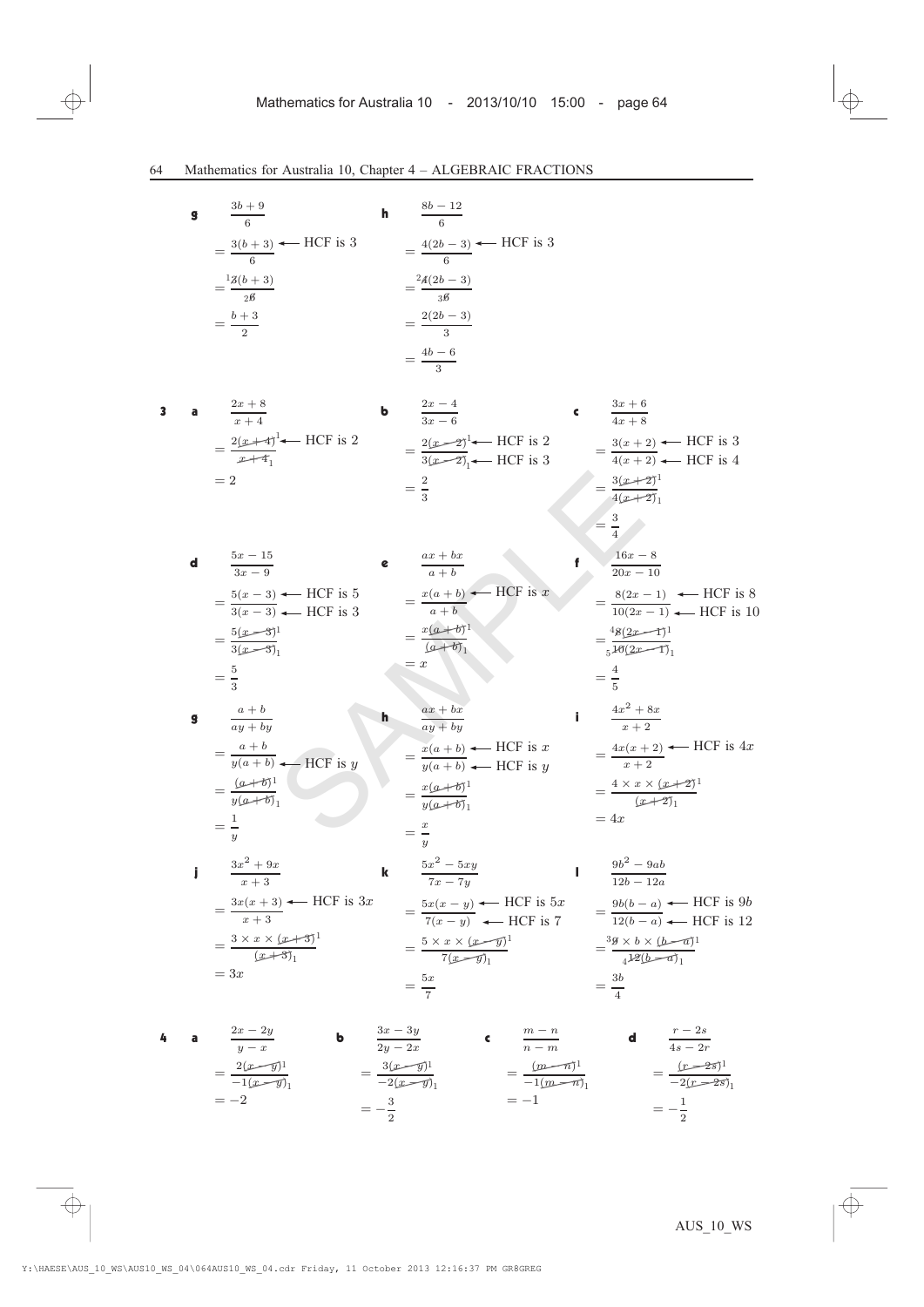|   | $\mathbf{g}$ | $\frac{3b+9}{6}$<br>$=\frac{3(b+3)}{6}$ + HCF is 3<br>$=\frac{13(b+3)}{2b}$<br>$=\frac{b+3}{2}$                                          | h | $\frac{8b-12}{6}$<br>$=\frac{4(2b-3)}{6}$ $\leftarrow$ HCF is 3<br>$=\frac{^{2}\!A(2b-3)}{^{3}\!B}$<br>$=\frac{2(2b-3)}{3}$                                                            |   |                                                                                                                                                      |
|---|--------------|------------------------------------------------------------------------------------------------------------------------------------------|---|----------------------------------------------------------------------------------------------------------------------------------------------------------------------------------------|---|------------------------------------------------------------------------------------------------------------------------------------------------------|
| 3 |              | <b>a</b> $\frac{2x+8}{x+4}$<br>$=\frac{2(x+4)}{x+4}$ HCF is 2<br>$=2$                                                                    |   | $=\frac{4b-6}{3}$<br><b>b</b> $\frac{2x-4}{3x-6}$<br>$=\frac{2(x-2)^{1}}{3(x-2)}$ HCF is 3<br>$=\frac{3(x+2)}{4(x+2)}$ HCF is 3<br>$=\frac{4(x+2)}{4(x+2)}$ HCF is 4<br>$=\frac{2}{3}$ |   | <b>c</b> $\frac{3x+6}{4x+8}$<br>$= \frac{3(x+2)^{1}}{4(x+2)},$                                                                                       |
|   | d            | $\frac{5x-15}{3x-9}$<br>$=\frac{5(x-3)}{3(x-3)}$ + HCF is 5<br>= $\frac{x(a+b)}{a+b}$ + HCF is x<br>$=\frac{5(x-3)^{1}}{3(x-3)}$         |   | $\frac{ax+bx}{a+b}$<br>$=\frac{x(a+b)^{1}}{(a+b)}$<br>$= x$                                                                                                                            |   | $\frac{3}{4}$<br>$\frac{16x-8}{20x-10}$<br>$=\frac{8(2x-1)}{10(2x-1)}$ We HCF is 8<br>$=\frac{48(2x-1)^{1}}{140(2x-1)}$                              |
|   | g            | $=\frac{5}{2}$<br>$\frac{a+b}{ay+by}$<br>$=\frac{a+b}{y(a+b)}$ + HCF is y<br>$=\frac{(a+b)^1}{y(a+b)}$                                   |   | $\frac{ax+bx}{ay+by}$<br>$=\frac{x(a+b)}{y(a+b)}$ $\leftarrow$ HCF is x<br>$=\frac{x(a+b)}{y(a+b)}$                                                                                    |   | $=\frac{4}{5}$<br>$\frac{4x^2 + 8x}{x + 2}$<br>$=\frac{4x(x+2)}{x+2}$ + HCF is 4x<br>$=\frac{4\times x\times (x+2)^{1}}{(x+2)^{1}}$<br>$=4x$         |
|   | j            | $=\frac{1}{y}$<br>$\frac{3x^2+9x}{x+3}$<br>$=\frac{3x(x+3)}{x+3}$ + HCF is 3x<br>$=\frac{3\times x\times (x+3)^{1}}{(x+3)^{1}}$<br>$=3x$ | k | $=\frac{x}{x}$<br>$\frac{5x^2-5xy}{7x-7y}$<br>$=\frac{5x(x-y)}{7(x-y)}$ $\leftarrow$ HCF is 5x<br>$=\frac{5\times x\times (x-y)}{7(x-y)_1}$<br>$=\frac{5x}{7}$                         | ı | $\frac{9b^2-9ab}{12b-12a}$<br>$=\frac{9b(b-a)}{12(b-a)}$ $\leftarrow$ HCF is 9b<br>$=\frac{3g\times b\times (b-a)}{4^{1/2}(b-a)}$<br>$=\frac{3b}{4}$ |
|   |              |                                                                                                                                          |   |                                                                                                                                                                                        |   |                                                                                                                                                      |

4 **a** 
$$
\frac{2x - 2y}{y - x}
$$
 **b**  $\frac{3x - 3y}{2y - 2x}$  **c**  $\frac{m - n}{n - m}$  **d**  $\frac{r - 2s}{4s - 2r}$   
\n
$$
= \frac{2(x - \bar{y})^1}{-1(x - \bar{y})_1}
$$
\n
$$
= -2
$$
\n
$$
= -\frac{3}{2}
$$
\n
$$
= -\frac{3}{2}
$$
\n
$$
= -1
$$
\n
$$
= -\frac{1}{2}
$$
\n
$$
= -\frac{1}{2}
$$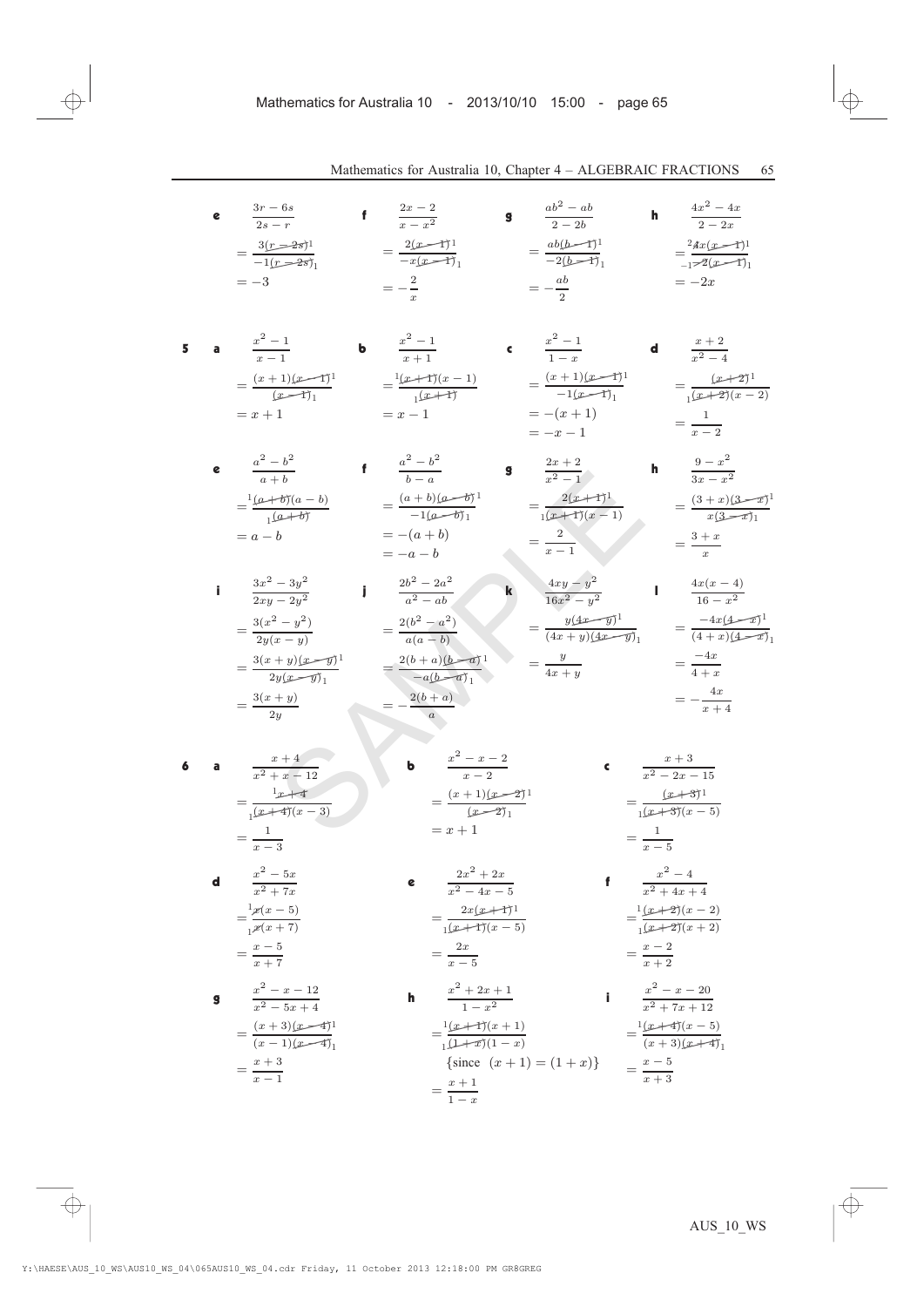e 
$$
\frac{3r-6s}{2s-r}
$$
  
\n
$$
= \frac{3(r-6s)}{1-(r-2s)}
$$
\n
$$
= \frac{2(x-4)}{-1}
$$
\n
$$
= -\frac{2(x-4)}{x-1}
$$
\n
$$
= -\frac{2}{x}
$$
\n
$$
= -\frac{2}{x}
$$
\n
$$
= -\frac{2}{x}
$$
\n
$$
= -\frac{2}{x}
$$
\n
$$
= -\frac{2}{x}
$$
\n
$$
= -\frac{2}{x}
$$
\n
$$
= -\frac{2}{x}
$$
\n
$$
= -\frac{2}{x}
$$
\n
$$
= -\frac{2}{x}
$$
\n
$$
= -\frac{2}{x}
$$
\n
$$
= -\frac{2}{x}
$$
\n
$$
= -\frac{2}{x}
$$
\n
$$
= -\frac{2}{x}
$$
\n
$$
= -\frac{2}{x}
$$
\n
$$
= -\frac{2}{x}
$$
\n
$$
= -\frac{2}{x}
$$
\n
$$
= -\frac{2}{x}
$$
\n
$$
= -\frac{2}{x}
$$
\n
$$
= -\frac{2}{x}
$$
\n
$$
= -\frac{2}{x-1}
$$
\n
$$
= \frac{(x+1)(x-1)}{x-1}
$$
\n
$$
= x+1
$$
\n
$$
= x-1
$$
\n
$$
= -\frac{(x+1)}{1-x}
$$
\n
$$
= \frac{2}{x-1}
$$
\n
$$
= \frac{2}{x-2}
$$
\n
$$
= \frac{2}{x-2}
$$
\n
$$
= \frac{2}{x-2}
$$
\n
$$
= \frac{2}{x-2}
$$
\n
$$
= \frac{2}{x-2}
$$
\n
$$
= \frac{2}{x-2}
$$
\n
$$
= \frac{2}{x-2}
$$
\n
$$
= \frac{2}{x-2}
$$
\n
$$
= \frac{2}{x-2}
$$
\n
$$
= \frac{2}{x-2}
$$
\n
$$
= \frac{2}{x-2}
$$
\n
$$

$$

**h** 
$$
\frac{x^2 + 2x + 1}{1 - x^2}
$$
  
\n
$$
= \frac{1(x+1)(x+1)}{1(1+x)(1-x)}
$$
  
\n
$$
\frac{1}{\sin(x+1)} = \frac{1(x+4)(x-5)}{(x+3)(x+4)}
$$
  
\n
$$
= \frac{x+1}{1-x}
$$
  
\n**i** 
$$
\frac{x^2 - x - 20}{x^2 + 7x + 12}
$$
  
\n
$$
= \frac{1(x+4)(x-5)}{(x+3)(x+4)}
$$
  
\n
$$
= \frac{x-5}{x+3}
$$

 $=\frac{x+3}{x}$  $x - 1$ 

 $=\frac{(x+3)(x-4)}{(x+3)(x+4)}$  $(x - 1)(x-4)$ <sub>1</sub>

1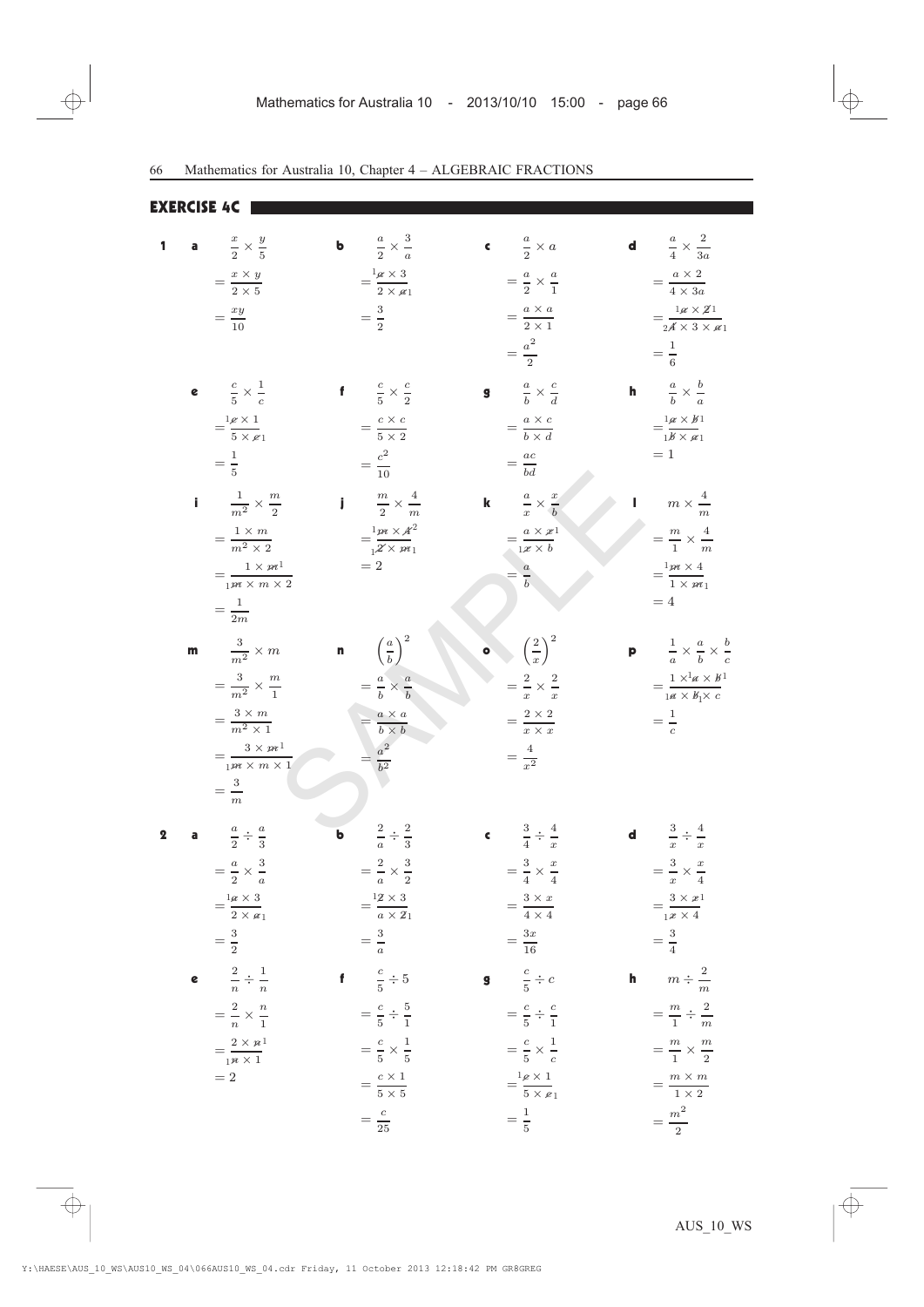EXERCISE 4C

| 1 |   |                                                         |   |                                                          |                                                        |   | <b>d</b> $\frac{a}{4} \times \frac{2}{3a}$                   |
|---|---|---------------------------------------------------------|---|----------------------------------------------------------|--------------------------------------------------------|---|--------------------------------------------------------------|
|   |   | a $\frac{x}{2} \times \frac{y}{5}$                      |   | <b>b</b> $\frac{a}{2} \times \frac{3}{a}$                | c $\frac{a}{2} \times a$                               |   |                                                              |
|   |   | $=\frac{x\times y}{2\times 5}$                          |   | $=\frac{1_{\mathscr{A}}\times 3}{2\times \mathscr{A}_1}$ | $=\frac{a}{2}\times\frac{a}{1}$                        |   | $=\frac{a\times 2}{4\times 3a}$                              |
|   |   | $=\frac{xy}{10}$                                        |   | $=\frac{3}{2}$                                           | $= \frac{a \times a}{2 \times 1}$                      |   | $=\frac{1\alpha\times2^1}{2\alpha\times3\times\alpha_1}$     |
|   |   |                                                         |   |                                                          | $=\frac{a^2}{2}$                                       |   | $=\frac{1}{6}$                                               |
|   |   | e $\frac{c}{5} \times \frac{1}{c}$                      |   | f $\frac{c}{5} \times \frac{c}{2}$                       | <b>g</b> $\frac{a}{b} \times \frac{c}{d}$              |   | <b>h</b> $\frac{a}{b} \times \frac{b}{a}$                    |
|   |   | $=\frac{1_{\mathscr{E}}\times 1}{5\times \mathscr{E}1}$ |   | $=\frac{c \times c}{5 \times 2}$                         | $=\frac{a\times c}{b\times d}$                         |   | $=\frac{1\alpha\times b}{16\times a1}$                       |
|   |   | $=\frac{1}{5}$                                          |   | $=\frac{c^2}{10}$                                        | $=\frac{ac}{bd}$                                       |   | $=1$                                                         |
|   |   |                                                         |   |                                                          |                                                        |   |                                                              |
|   |   | $\frac{1}{m^2} \times \frac{m}{2}$                      |   | $\frac{m}{2} \times \frac{4}{m}$                         | <b>k</b> $\frac{a}{x} \times \frac{x}{b}$              |   | $m \times \frac{4}{m}$                                       |
|   |   | $=\frac{1\times m}{m^2\times 2}$                        |   | $=\frac{1}{2}\frac{m \times A^2}{\times m_1}$            | $=\frac{a\times x}{1\times b}$                         |   | $=\frac{m}{1}\times\frac{4}{m}$                              |
|   |   | $=\frac{1\times m^1}{1m\times m\times 2}$               |   | $=2$                                                     | $=\frac{a}{b}$                                         |   | $=\frac{1}{1} \frac{m \times 4}{m \times m}$                 |
|   |   | $=\frac{1}{2m}$                                         |   |                                                          |                                                        |   | $=4$                                                         |
|   | m | $rac{3}{m^2} \times m$                                  |   | <b>n</b> $\left(\frac{a}{b}\right)^2$                    | $\left(\frac{2}{x}\right)^2$                           |   | <b>p</b> $\frac{1}{a} \times \frac{a}{b} \times \frac{b}{c}$ |
|   |   |                                                         |   |                                                          |                                                        |   |                                                              |
|   |   | $=\frac{3}{m^2}\times\frac{m}{1}$                       |   | $=\frac{a}{b}\times\frac{a}{b}$                          | $=\frac{2}{x}\times\frac{2}{x}$                        |   | $=\frac{1\times^1 a\times b^1}{1 a\times b_1 \times c}$      |
|   |   | $= \frac{3 \times m}{m^2 \times 1}$                     |   | $=\frac{a \times a}{b \times b}$                         | $=\frac{2\times 2}{x\times x}$                         |   | $=\frac{1}{c}$                                               |
|   |   | $=\frac{3\times m^1}{1m\times m\times 1}$               |   | $= \frac{a^2}{b^2}$                                      | $=\frac{4}{r^2}$                                       |   |                                                              |
|   |   | $=\frac{3}{m}$                                          |   |                                                          |                                                        |   |                                                              |
| 2 |   | $\frac{a}{2} \div \frac{a}{3}$                          | ь | $rac{2}{a} \div \frac{2}{3}$                             | <b>c</b> $\frac{3}{4} \div \frac{4}{x}$                |   | <b>d</b> $\frac{3}{x} \div \frac{4}{x}$                      |
|   |   | $=\frac{a}{2} \times \frac{3}{a}$                       |   | $=\frac{2}{a}\times\frac{3}{2}$                          | $=\frac{3}{4}\times\frac{x}{4}$                        |   | $=\frac{3}{x} \times \frac{x}{4}$                            |
|   |   |                                                         |   |                                                          |                                                        |   |                                                              |
|   |   | $=\frac{1a\times 3}{2\times a_1}$                       |   | $=\frac{12\times3}{a\times21}$                           | $=\frac{3\times x}{4\times 4}$                         |   | $=\frac{3\times x}{1\times 4}$                               |
|   |   | $=\frac{3}{2}$                                          |   | $=\frac{3}{a}$                                           | $=\frac{3x}{16}$                                       |   | $=\frac{3}{4}$                                               |
|   |   | e $\frac{2}{n} \div \frac{1}{n}$                        |   | f $\frac{c}{5} \div 5$                                   | <b>g</b> $\frac{c}{5} \div c$                          | h | $m \div \frac{2}{m}$                                         |
|   |   | $=\frac{2}{n}\times\frac{n}{1}$                         |   | $=\frac{c}{5} \div \frac{5}{1}$                          | $=\frac{c}{5}\div\frac{c}{1}$                          |   | $=\frac{m}{1} \div \frac{2}{m}$                              |
|   |   | $=\frac{2\times n^1}{1^n\times 1}$                      |   | $=\frac{c}{5}\times\frac{1}{5}$                          | $=\frac{c}{5}\times\frac{1}{c}$                        |   | $=\frac{m}{1}\times\frac{m}{2}$                              |
|   |   | $=2$                                                    |   | $=\frac{c\times 1}{5\times 5}$                           | $=\frac{1_{\mathcal{L}}\times 1}{5\times \mathcal{L}}$ |   | $=\frac{m \times m}{1 \times 2}$                             |
|   |   |                                                         |   | $=\frac{c}{25}$                                          | $=\frac{1}{5}$                                         |   | $=\frac{m^2}{2}$                                             |
|   |   |                                                         |   |                                                          |                                                        |   |                                                              |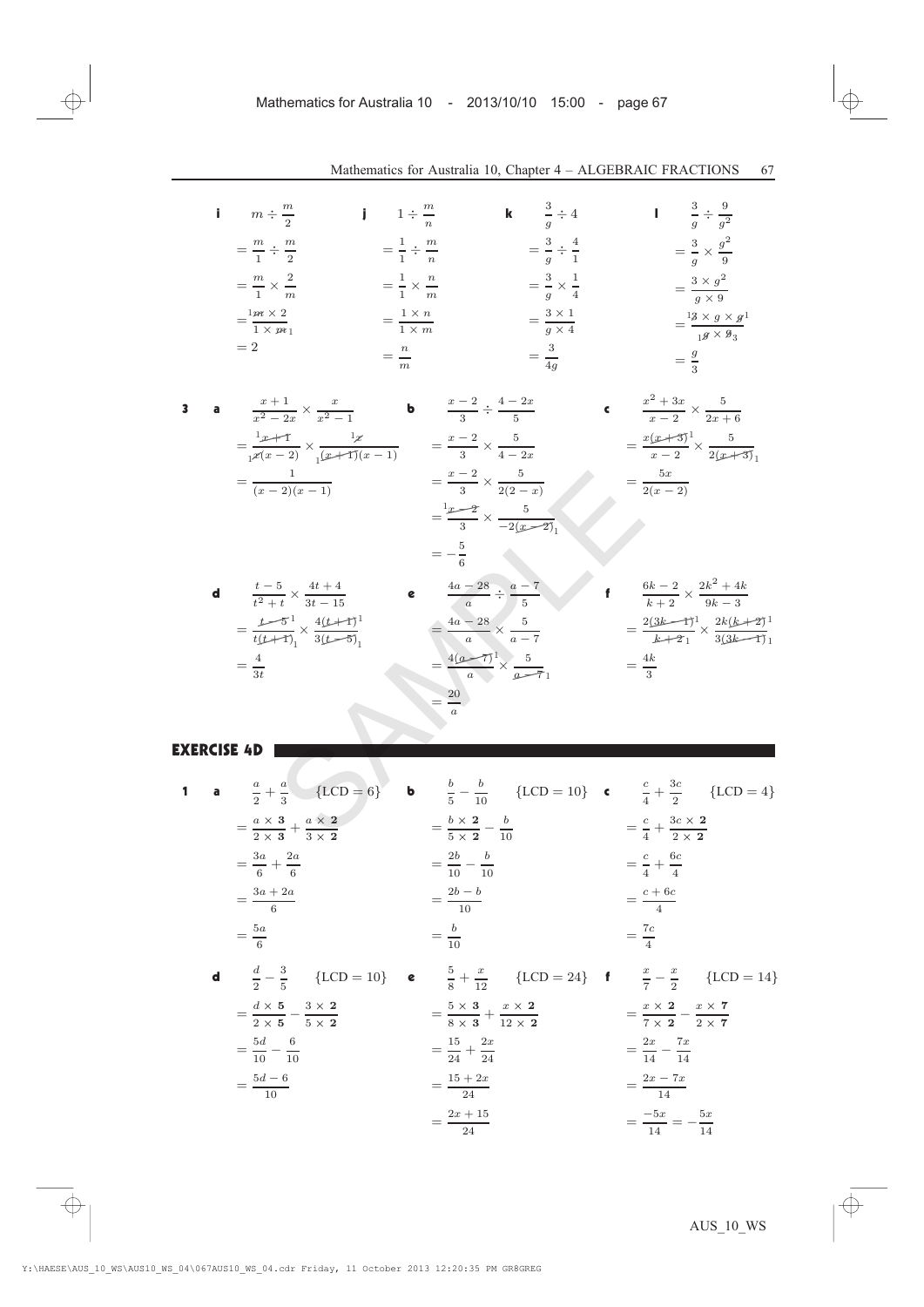$$
\begin{array}{llll}\n\mathbf{i} & m \div \frac{m}{2} & \mathbf{j} & 1 \div \frac{m}{n} & \mathbf{k} & \frac{3}{g} \div 4 & \mathbf{l} & \frac{3}{g} \div \frac{9}{g^2} \\
& = \frac{m}{1} \div \frac{m}{2} & = \frac{1}{1} \div \frac{m}{n} & = \frac{3}{g} \div \frac{4}{1} & = \frac{3}{g} \times \frac{g^2}{9} \\
& = \frac{m}{1} \times \frac{2}{m} & = \frac{1}{1} \times \frac{n}{m} & = \frac{3}{g} \times \frac{1}{4} & = \frac{3 \times g^2}{g \times 9} \\
& = \frac{1 \times n}{1 \times m_1} & = \frac{1 \times n}{n} & = \frac{3 \times 1}{g \times 4} & = \frac{13 \times g \times g^1}{1 \times 9 \times 9 \times 1} \\
& = 2 & = \frac{n}{m} & = \frac{3}{4g} & = \frac{g}{3}\n\end{array}
$$

3 **a** 
$$
\frac{x+1}{x^2-2x} \times \frac{x}{x^2-1}
$$
 **b**  $\frac{x-2}{3} \div \frac{4-2x}{5}$  **c**  $\frac{x^2+3x}{x-2} \times \frac{5}{2x+6}$   
\n
$$
= \frac{1}{x(x-2)} \times \frac{1}{x} \times \frac{1}{(x+1)(x-1)}
$$
\n
$$
= \frac{x-2}{3} \times \frac{5}{4-2x}
$$
\n
$$
= \frac{x-2}{3} \times \frac{5}{2(2-x)}
$$
\n
$$
= \frac{1}{3} \times \frac{5}{2(2-x)}
$$
\n
$$
= \frac{5x}{2(x-2)}
$$
\n
$$
= -\frac{5}{6}
$$
\n**d**  $\frac{t-5}{t^2+t} \times \frac{4t+4}{3t-15}$  **e**  $\frac{4a-28}{a} \div \frac{a-7}{5}$  **f**  $\frac{6k-2}{k+2} \times \frac{2k^2+4k}{9k-3}$   
\n
$$
= \frac{t-5}{t(t+1)} \times \frac{4(t+1)^1}{3(t-5)}
$$
\n
$$
= \frac{4(2-7)^1}{a} \times \frac{5}{a-7}
$$
\n
$$
= \frac{4(2-7)^1}{a} \times \frac{5}{a-7}
$$
\n
$$
= \frac{4k}{3}
$$
\n**EXERCISE 4D**  
\n1 **a**  $\frac{a}{2} + \frac{a}{3}$  {LCD = 6} **b**  $\frac{b}{5} - \frac{b}{10}$  {LCD = 10} **c**  $\frac{c}{4} + \frac{3c}{2}$  {LCD = 4}  
\n
$$
= \frac{a \times 3}{3} + \frac{a \times 2}{3 \times 2}
$$
\n
$$
= \frac{b \times 2}{5} - \frac{b}{10}
$$

$$
= \frac{1}{t(t+1)} \times \frac{4(t+1)}{3(t+1)} = \frac{4a - 28}{a} \times \frac{5}{a-7} = \frac{2(3k-1)}{k+2} \times \frac{2k(k+2)}{3(3k-1)} = \frac{4}{3k}
$$

$$
= \frac{4}{a} \times \frac{5}{a-7} = \frac{4k}{3}
$$

$$
= \frac{20}{a}
$$

## EXERCISE 4D

|  |                                                            | <b>a</b> $\frac{a}{2} + \frac{a}{3}$ {LCD = 6} <b>b</b> $\frac{b}{5} - \frac{b}{10}$ {LCD = 10} <b>c</b> $\frac{c}{4} + \frac{3c}{2}$ {LCD = 4}  |                                                            |
|--|------------------------------------------------------------|--------------------------------------------------------------------------------------------------------------------------------------------------|------------------------------------------------------------|
|  | $=\frac{a\times 3}{2\times 3}+\frac{a\times 2}{3\times 2}$ | $= \frac{b \times 2}{5 \times 2} - \frac{b}{10}$                                                                                                 | $=\frac{c}{4}+\frac{3c\times 2}{2\times 2}$                |
|  | $=\frac{3a}{6}+\frac{2a}{6}$                               | $=\frac{2b}{10}-\frac{b}{10}$                                                                                                                    | $=\frac{c}{4}+\frac{6c}{4}$                                |
|  | $=\frac{3a+2a}{6}$                                         | $=\frac{2b-b}{10}$                                                                                                                               | $=\frac{c+6c}{4}$                                          |
|  | $=\frac{5a}{6}$                                            | $=\frac{b}{10}$                                                                                                                                  | $=\frac{7c}{4}$                                            |
|  |                                                            | <b>d</b> $\frac{d}{2} - \frac{3}{5}$ {LCD = 10} <b>e</b> $\frac{5}{8} + \frac{x}{12}$ {LCD = 24} <b>f</b> $\frac{x}{7} - \frac{x}{2}$ {LCD = 14} |                                                            |
|  | $=\frac{d\times 5}{2\times 5}-\frac{3\times 2}{5\times 2}$ | $=\frac{5\times3}{8\times3}+\frac{x\times2}{12\times2}$                                                                                          | $=\frac{x\times 2}{7\times 2}-\frac{x\times 7}{2\times 7}$ |
|  | $=\frac{5d}{10}-\frac{6}{10}$                              | $=\frac{15}{24}+\frac{2x}{24}$                                                                                                                   | $=\frac{2x}{14}-\frac{7x}{14}$                             |
|  | $=\frac{5d-6}{10}$                                         | $=\frac{15+2x}{24}$                                                                                                                              | $=\frac{2x-7x}{14}$                                        |
|  |                                                            | $=\frac{2x+15}{24}$                                                                                                                              | $=\frac{-5x}{14}=-\frac{5x}{14}$                           |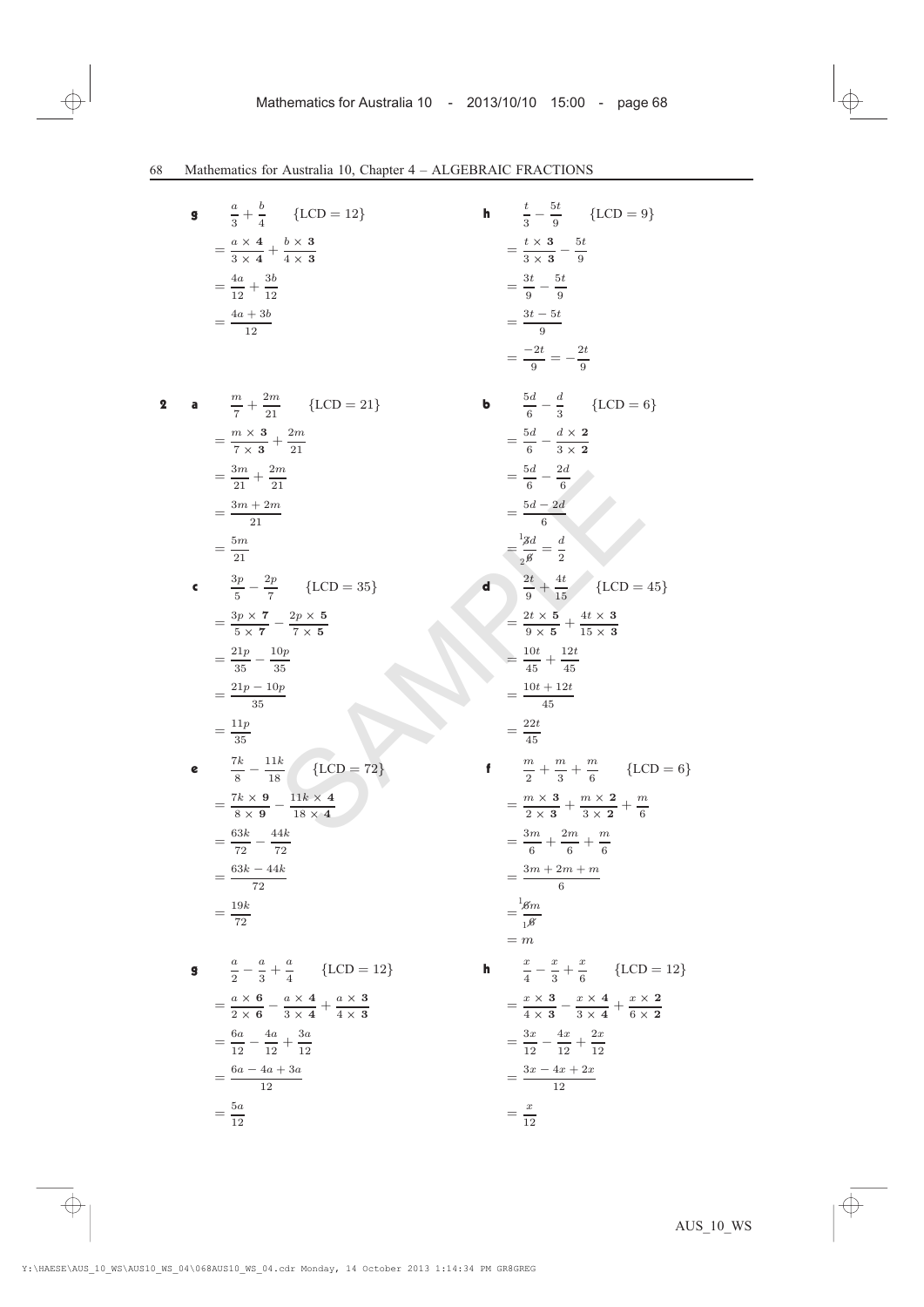**9** 
$$
\frac{a}{3} + \frac{b}{4} \quad \{\text{LCD} = 12\}
$$

$$
= \frac{a \times 4}{3 \times 4} + \frac{b \times 3}{4 \times 3}
$$

$$
= \frac{4a}{12} + \frac{3b}{12}
$$

$$
= \frac{4a + 3b}{12}
$$
**a** 
$$
\frac{m}{7} + \frac{2m}{21} \quad \{\text{LCD} = 21\}
$$

$$
= \frac{m \times 3}{7 \times 3} + \frac{2m}{21}
$$

$$
= \frac{3m}{21} + \frac{2m}{21}
$$

$$
= \frac{3m + 2m}{21}
$$

$$
= \frac{5m}{21}
$$

 $\mathbf 2$ 

$$
\begin{aligned}\n\mathbf{c} \qquad & \frac{3p}{5} - \frac{2p}{7} & \{LCD = 35\} \\
& = \frac{3p \times 7}{5 \times 7} - \frac{2p \times 5}{7 \times 5} \\
& = \frac{21p}{35} - \frac{10p}{35} \\
& = \frac{21p - 10p}{35} \\
& = \frac{11p}{35}\n\end{aligned}
$$

e 
$$
\frac{7k}{8} - \frac{11k}{18}
$$
 {LCD = 72}  
= 
$$
\frac{7k \times 9}{8 \times 9} - \frac{11k \times 4}{18 \times 4}
$$
  
= 
$$
\frac{63k}{72} - \frac{44k}{72}
$$
  
= 
$$
\frac{63k - 44k}{72}
$$
  
= 
$$
\frac{19k}{72}
$$

$$
9 \quad \frac{a}{2} - \frac{a}{3} + \frac{a}{4} \quad \{LCD = 12\}
$$
\n
$$
= \frac{a \times 6}{2 \times 6} - \frac{a \times 4}{3 \times 4} + \frac{a \times 3}{4 \times 3}
$$
\n
$$
= \frac{6a}{12} - \frac{4a}{12} + \frac{3a}{12}
$$
\n
$$
= \frac{6a - 4a + 3a}{12}
$$
\n
$$
= \frac{5a}{12}
$$

{LCD = 12}  
\n**h** 
$$
\frac{t}{3} - \frac{5t}{9}
$$
 {LCD = 9}  
\n $\frac{b \times 3}{4 \times 3}$   $= \frac{t \times 3}{3 \times 3} - \frac{5t}{9}$   
\n $= \frac{3t}{9} - \frac{5t}{9}$   
\n $= \frac{3t - 5t}{9}$   
\n $= \frac{-2t}{9} = -\frac{2t}{9}$   
\n $= \frac{-2t}{9} = -\frac{2t}{9}$   
\n $= \frac{5d}{6} - \frac{d \times 2}{3 \times 2}$   
\n $= \frac{5d}{6} - \frac{2d}{3 \times 2}$   
\n $= \frac{5d - 2d}{6}$   
\n $= \frac{3d - 5t}{2}$   
\n  
\nLCD = 35}  
\n**d**  $\frac{2t}{t} + \frac{4t}{15}$  {LCD = 45}  
\n $= \frac{2t \times 5}{9 \times 5} + \frac{4t \times 3}{15 \times 3}$   
\n $= \frac{10t + 12t}{45}$   
\n $= \frac{10t + 12t}{45}$   
\n $= \frac{10t + 12t}{45}$   
\n $= \frac{22t}{3} + \frac{4t}{3} + \frac{7t}{6}$  {LCD = 6}  
\n $= \frac{2t \times 5}{3 \times 4} + \frac{4t \times 3}{15 \times 3}$   
\n $= \frac{10t + 12t}{45}$   
\n $= \frac{3m + 2m + m}{6}$  {LCD = 6}  
\n $= \frac{3m + 2m + m}{6}$   
\n $= \frac{3m + 2m + m}{6}$   
\n $= \frac{3m + 2m + m}{6}$   
\n $= \frac{3m + 2m + m}{6}$   
\n $= \frac{4 \times 4}{15}$   
\n $= \frac{3 \times 4}{3 \times 4} + \frac{a \times 3}{4 \times 3}$   
\n $= \frac{3x - 4x + 2x}{12}$   
\n $= \$ 

 $=\frac{x}{12}$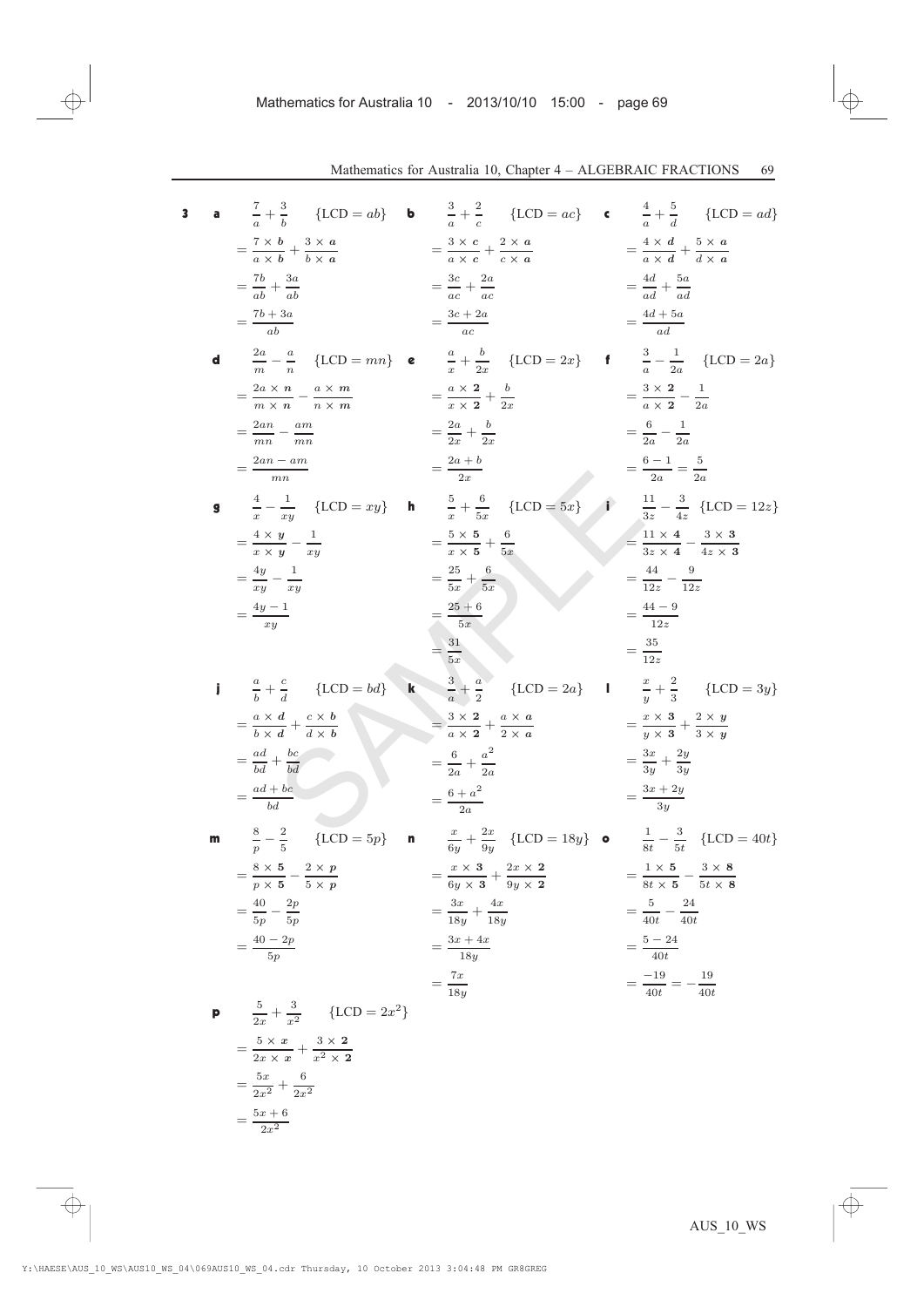3 **a** 
$$
\frac{7}{a} + \frac{3}{b}
$$
 {LCD = ab} **b**  $\frac{3}{a} + \frac{2}{c}$  {LCD = ac} **c**  $\frac{4}{a} + \frac{5}{a}$  {LCD = ad}  
\n $= \frac{7 \times b}{a \times b} + \frac{3 \times a}{b \times a}$   $= \frac{3 \times c}{a \times c} + \frac{2 \times a}{c \times a}$   $= \frac{4 \times d}{a \times d} + \frac{5 \times a}{d \times a}$   
\n $= \frac{7b + 3a}{ab}$   $= \frac{3c + 2a}{ac} = \frac{4d + 5a}{ad + \frac{5a}{ad}} = \frac{4d + 5a}{ad + \frac{5a}{ad}} = \frac{4d + 5a}{ad + \frac{5a}{ad}} = \frac{4d + 5a}{ad}$   
\n**d**  $\frac{2a}{m} - \frac{a}{n}$  {LCD = mn} **e**  $\frac{a}{a} + \frac{b}{2x}$  {LCD = 2x} **f**  $\frac{3}{a} - \frac{1}{2a}$  {LCD = 2a}  
\n $= \frac{2ax}{mn} - \frac{am}{mn}$   $= \frac{2ax + b}{ax} = \frac{a \times 2}{ax} + \frac{b}{2x}$   $= \frac{6}{a \times 2} - \frac{1}{2a}$   
\n $= \frac{2an - am}{am}$   $= \frac{2ax + b}{ax} = \frac{2ax + b}{ax} = \frac{6 \times 4}{3 \times 2} - \frac{1}{2a}$   
\n $= \frac{4 \times y}{x \times y} - \frac{1}{xy}$   $= \frac{2 \times 5}{x \times 5} + \frac{6}{5x}$  {LCD = 5x} **i**  $\frac{11}{35} - \frac{3}{45} + \frac{1}{40} = 2$   
\n $= \frac{4 \times 1}{xy} - \frac{1}{xy}$   $= \frac{25 + 6}{5x}$   $= \frac{35 \times 4}{5x}$   $= \frac{44 - 9}{12z}$   
\n $= \frac{4}{3z}$   $\frac{4}{$ 

 $=\frac{5x+6}{2x^2}$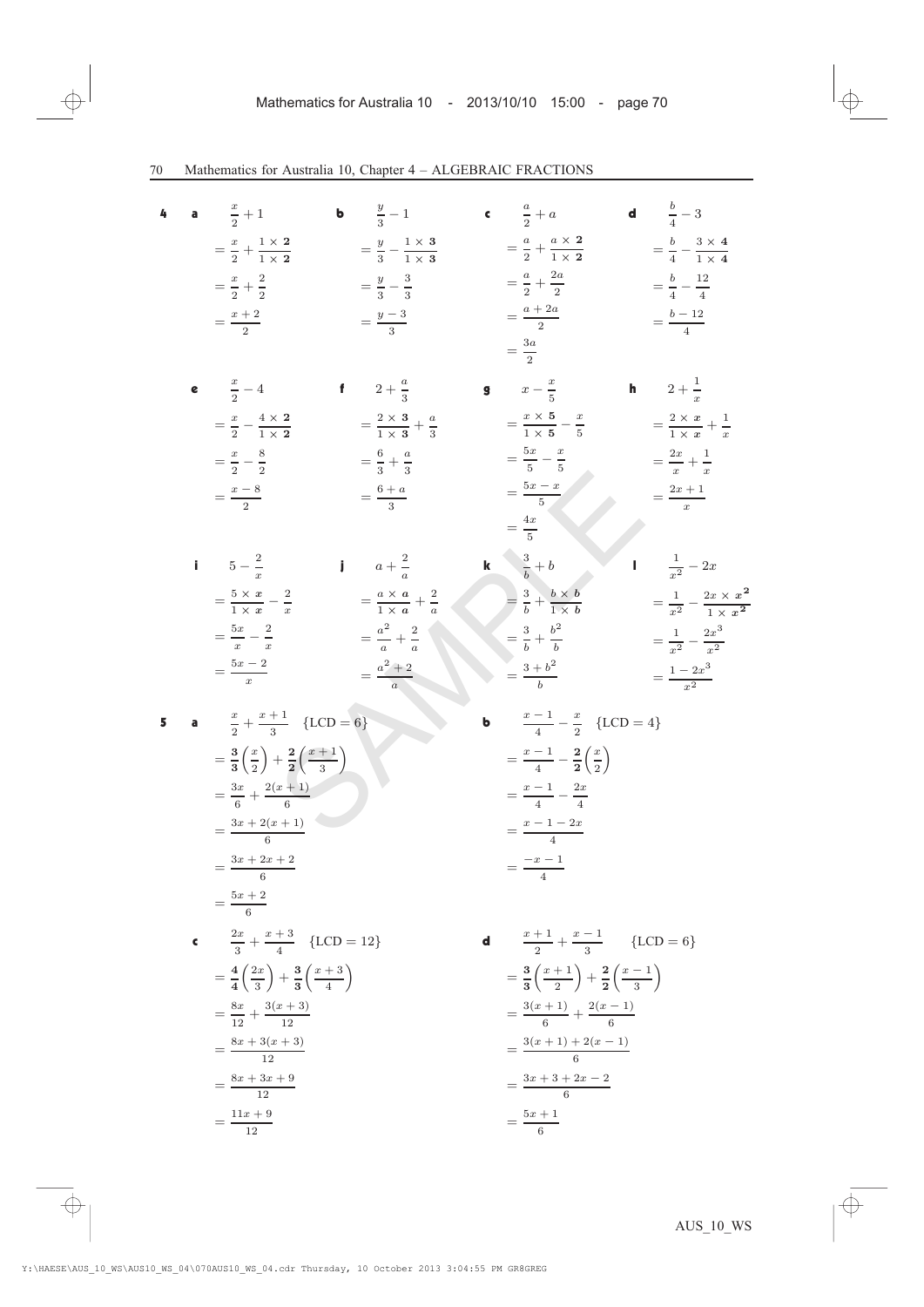| 4 | a | $rac{x}{2}+1$                                                                 | <b>b</b> $\frac{y}{2} - 1$                     | c $\frac{a}{2}+a$                                                              | <b>d</b> $\frac{b}{4} - 3$                        |
|---|---|-------------------------------------------------------------------------------|------------------------------------------------|--------------------------------------------------------------------------------|---------------------------------------------------|
|   |   | $=\frac{x}{2}+\frac{1\times 2}{1\times 2}$                                    | $=\frac{y}{3}-\frac{1\times 3}{1\times 3}$     | $=\frac{a}{2}+\frac{a\times 2}{1\times 2}$                                     | $=\frac{b}{4}-\frac{3\times 4}{1\times 4}$        |
|   |   | $=\frac{x}{2}+\frac{2}{2}$                                                    | $=\frac{y}{3}-\frac{3}{3}$                     | $=\frac{a}{2}+\frac{2a}{2}$                                                    | $=\frac{b}{4}-\frac{12}{4}$                       |
|   |   | $=\frac{x+2}{2}$                                                              | $=\frac{y-3}{3}$                               | $=\frac{a+2a}{2}$                                                              | $=\frac{b-12}{4}$                                 |
|   |   |                                                                               |                                                | $=\frac{3a}{2}$                                                                |                                                   |
|   |   | <b>e</b> $\frac{x}{2} - 4$                                                    | f $2+\frac{a}{3}$                              | <b>g</b> $x - \frac{x}{5}$                                                     | <b>h</b> $2 + \frac{1}{x}$                        |
|   |   | $=\frac{x}{2}-\frac{4\times 2}{1\times 2}$                                    | $=\frac{2\times3}{1\times3}+\frac{a}{3}$       | $=\frac{x\times 5}{1\times 5}-\frac{x}{5}$                                     | $=\frac{2\times x}{1\times x}+\frac{1}{x}$        |
|   |   | $=\frac{x}{2}-\frac{8}{2}$                                                    | $=\frac{6}{3}+\frac{a}{3}$                     | $=\frac{5x}{5}-\frac{x}{5}$                                                    | $=\frac{2x}{x}+\frac{1}{x}$                       |
|   |   | $=\frac{x-8}{2}$                                                              | $=\frac{6+a}{3}$                               | $=\frac{5x-x}{5}$                                                              | $=\frac{2x+1}{x}$                                 |
|   |   |                                                                               |                                                | $=\frac{4x}{5}$                                                                |                                                   |
|   |   | $5 - \frac{2}{7}$                                                             | $\mathbf{i} \qquad a + \frac{2}{a}$            | <b>k</b> $\frac{3}{t} + b$                                                     | $\frac{1}{x^2} - 2x$                              |
|   |   | $=\frac{5\times x}{1\times x}-\frac{2}{x}$                                    | $=\frac{a \times a}{1 \times a} + \frac{2}{a}$ | $=\frac{3}{b}+\frac{b\times b}{1\times b}$                                     | $=\frac{1}{x^2}-\frac{2x\times x^2}{1\times x^2}$ |
|   |   | $=\frac{5x}{x}-\frac{2}{x}$                                                   | $=\frac{a^2}{a}+\frac{2}{a}$                   | $=\frac{3}{4}+\frac{b^2}{4}$                                                   | $=\frac{1}{2}-\frac{2x^3}{2}$                     |
|   |   | $=\frac{5x-2}{x}$                                                             | $=\frac{a^2+2}{a}$                             | $=\frac{3+b^2}{b}$                                                             | $=\frac{1-2x^3}{x^2}$                             |
|   |   |                                                                               |                                                |                                                                                |                                                   |
|   |   | <b>a</b> $\frac{x}{2} + \frac{x+1}{3}$ {LCD = 6}                              |                                                | $rac{x-1}{4} - \frac{x}{2}$ {LCD = 4}                                          |                                                   |
|   |   | $=\frac{3}{3}\left(\frac{x}{2}\right)+\frac{2}{3}\left(\frac{x+1}{3}\right)$  |                                                | $=\frac{x-1}{4}-\frac{2}{2}\left(\frac{x}{2}\right)$                           |                                                   |
|   |   | $=\frac{3x}{e}+\frac{2(x+1)}{e}$                                              |                                                | $=\frac{x-1}{4}-\frac{2x}{4}$                                                  |                                                   |
|   |   | $=\frac{3x+2(x+1)}{6}$                                                        |                                                | $=\frac{x-1-2x}{4}$                                                            |                                                   |
|   |   | $=\frac{3x+2x+2}{6}$                                                          |                                                | $=\frac{-x-1}{4}$                                                              |                                                   |
|   |   | $=\frac{5x+2}{6}$                                                             |                                                |                                                                                |                                                   |
|   |   | <b>c</b> $\frac{2x}{3} + \frac{x+3}{4}$ {LCD = 12}                            |                                                | <b>d</b> $\frac{x+1}{2} + \frac{x-1}{3}$ {LCD = 6}                             |                                                   |
|   |   | $=\frac{4}{4}\left(\frac{2x}{3}\right)+\frac{3}{3}\left(\frac{x+3}{4}\right)$ |                                                | $=\frac{3}{3}\left(\frac{x+1}{2}\right)+\frac{2}{2}\left(\frac{x-1}{3}\right)$ |                                                   |
|   |   | $=\frac{8x}{12}+\frac{3(x+3)}{12}$                                            |                                                | $=\frac{3(x+1)}{6}+\frac{2(x-1)}{6}$                                           |                                                   |
|   |   | $=\frac{8x+3(x+3)}{12}$                                                       |                                                | $=\frac{3(x+1)+2(x-1)}{6}$                                                     |                                                   |
|   |   | $=\frac{8x+3x+9}{12}$                                                         |                                                | $=\frac{3x+3+2x-2}{6}$                                                         |                                                   |
|   |   | $=\frac{11x+9}{12}$                                                           |                                                | $=\frac{5x+1}{6}$                                                              |                                                   |
|   |   |                                                                               |                                                |                                                                                |                                                   |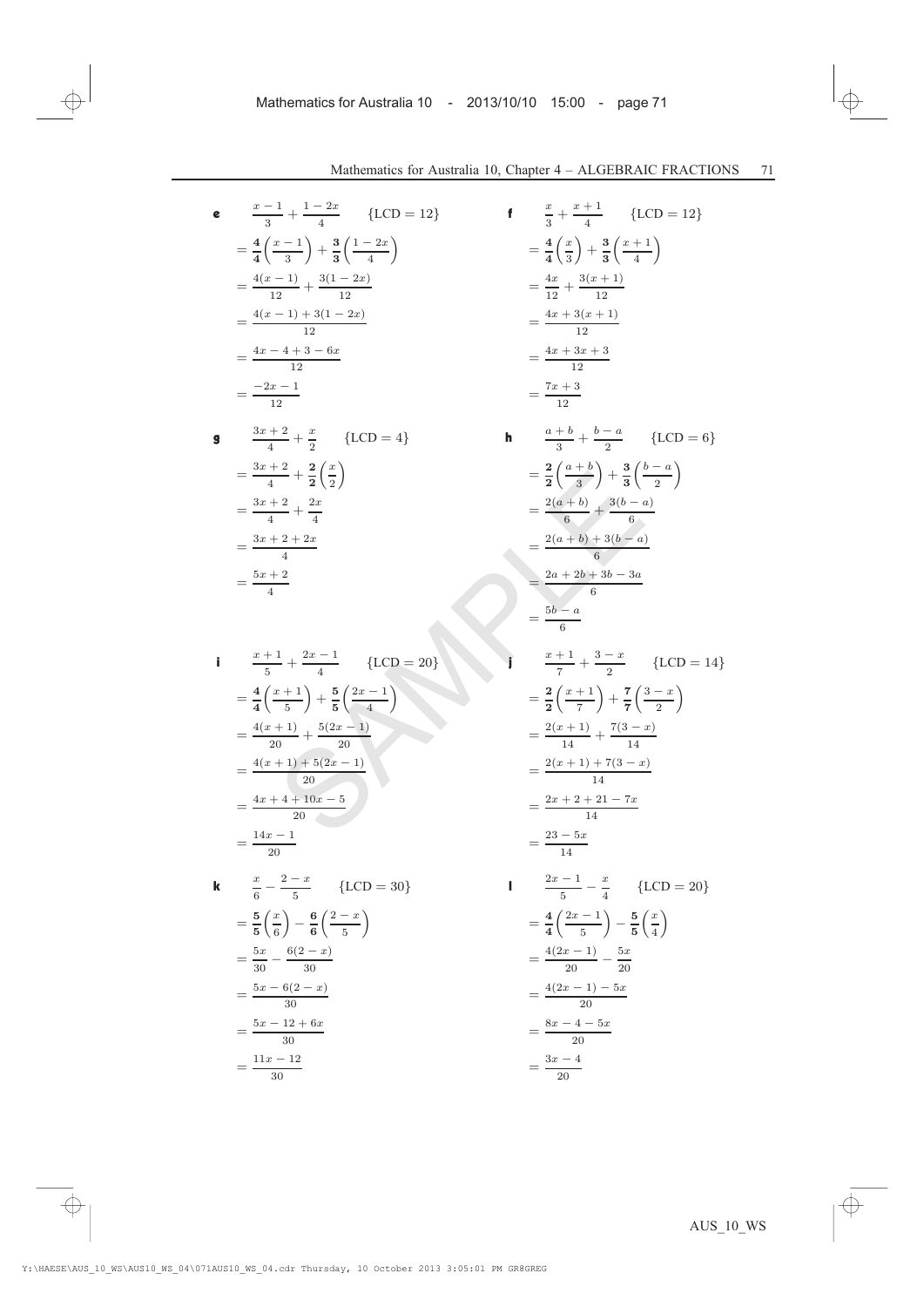$$
c \frac{x-1}{3} + \frac{1-2x}{4} \quad \{LCD = 12\}
$$
  
=  $\frac{4}{4} \left(\frac{x-1}{3}\right) + \frac{3}{3} \left(\frac{1-2x}{4}\right)$   
=  $\frac{4(x-1)}{12} + \frac{3(1-2x)}{12}$   
=  $\frac{4(x-1) + 3(1-2x)}{12}$   
=  $\frac{4x - 4 + 3 - 6x}{12}$   
=  $\frac{-2x - 1}{12}$ 

$$
3x + 2 + \frac{x}{2} \quad \{LCD = 4\}
$$
  
=  $\frac{3x + 2}{4} + \frac{2}{2} (\frac{x}{2})$   
=  $\frac{3x + 2}{4} + \frac{2x}{4}$   
=  $\frac{3x + 2 + 2x}{4}$   
=  $\frac{5x + 2}{4}$ 

i 
$$
\frac{x+1}{5} + \frac{2x-1}{4} \quad \text{ {LCD = 20}}
$$
  
\n
$$
= \frac{4}{4} \left( \frac{x+1}{5} \right) + \frac{5}{5} \left( \frac{2x-1}{4} \right)
$$
  
\n
$$
= \frac{4(x+1)}{20} + \frac{5(2x-1)}{20}
$$
  
\n
$$
= \frac{4(x+1) + 5(2x-1)}{20}
$$
  
\n
$$
= \frac{4x+4+10x-5}{20}
$$
  
\n
$$
= \frac{14x-1}{20}
$$
  
\n**k** 
$$
\frac{x}{6} - \frac{2-x}{5} \quad \text{ {LCD = 30}}
$$
  
\n
$$
= \frac{5}{5} \left( \frac{x}{6} \right) - \frac{6}{6} \left( \frac{2-x}{5} \right)
$$

$$
= \frac{5x}{30} - \frac{6(2-x)}{30}
$$

$$
= \frac{5x - 6(2-x)}{30}
$$

$$
= \frac{5x - 12 + 6x}{30}
$$

$$
= \frac{11x - 12}{30}
$$

$$
\frac{1}{4} + \frac{1-2x}{4} \quad \{LCD = 12\}
$$
\n
$$
\frac{x-1}{3} + \frac{3}{3} \left(\frac{1-2x}{4}\right) = \frac{4}{4} \left(\frac{x}{3}\right) + \frac{3}{3} \left(\frac{x+1}{4}\right)
$$
\n
$$
= \frac{4x}{12} + \frac{3(x+1)}{12}
$$
\n
$$
= \frac{4x + 3(x+1)}{12}
$$
\n
$$
= \frac{4x + 3x + 3}{12}
$$
\n
$$
= \frac{4x + 3x + 3}{12}
$$
\n
$$
= \frac{2}{12}
$$
\n
$$
\frac{2}{2} + \frac{x}{2} \quad \{LCD = 4\}
$$
\n
$$
\frac{2}{3} + \frac{x}{2} \quad \{LCD = 4\}
$$
\n
$$
\frac{2}{3} + \frac{x}{2} \quad \{LCD = 4\}
$$
\n
$$
\frac{2}{3} + \frac{x}{2} \quad \{LCD = 4\}
$$
\n
$$
\frac{2}{3} + \frac{x}{2} \quad \{LCD = 4\}
$$
\n
$$
\frac{2}{3} + \frac{x}{2} \quad \{LCD = 4\}
$$
\n
$$
\frac{2}{3} + \frac{x}{2} \quad \{LCD = 4\}
$$
\n
$$
\frac{2}{3} + \frac{x}{2} \quad \frac{x}{2} \quad \frac{2}{3} \quad \frac{2}{3} \quad \frac{2}{3} \quad \frac{2}{3} \quad \frac{2}{3} \quad \frac{2}{3} \quad \frac{2}{3} \quad \frac{2}{3} \quad \frac{2}{3} \quad \frac{2}{3} \quad \frac{2}{3} \quad \frac{2}{3} \quad \frac{2}{3} \quad \frac{2}{3} \quad \frac{2}{3} \quad \frac{2}{3} \quad \frac{2}{3} \quad \frac{2}{3} \quad \frac{2}{3} \quad \frac{2}{3} \quad \frac{2}{3} \quad \frac{2}{3} \quad \frac{2}{3} \quad \frac{2}{3} \quad \frac{2}{3} \quad \frac{2}{3} \quad \frac{2}{3} \quad \frac{2}{3} \quad \frac{2}{3} \quad \frac{2}{3} \quad \
$$

$$
= \frac{2(x+1) + 7(3-x)}{14}
$$

$$
= \frac{2(x+1) + 7(3-x)}{14}
$$

$$
= \frac{2x + 2 + 21 - 7x}{14}
$$

$$
= \frac{23 - 5x}{14}
$$

$$
1 \quad \frac{2x-1}{5} - \frac{x}{4} \quad \{\text{LCD} = 20\}
$$

$$
= \frac{4}{4} \left(\frac{2x-1}{5}\right) - \frac{5}{5} \left(\frac{x}{4}\right)
$$

$$
= \frac{4(2x-1)}{20} - \frac{5x}{20}
$$

$$
= \frac{4(2x-1) - 5x}{20}
$$

$$
= \frac{8x - 4 - 5x}{20}
$$

$$
= \frac{3x - 4}{20}
$$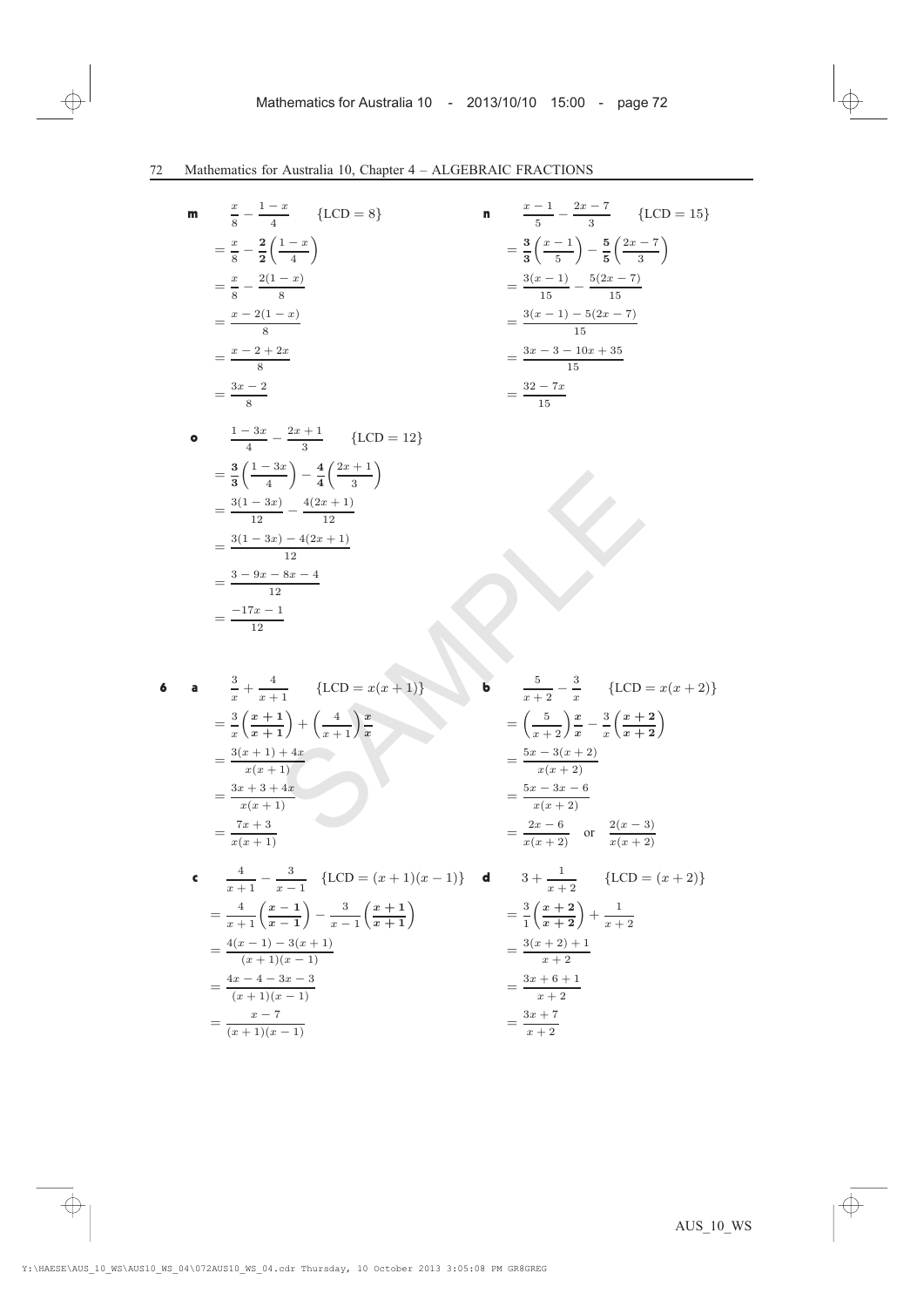$$
\begin{array}{ll}\n\mathbf{m} & \frac{x}{8} - \frac{1-x}{4} & \{LCD = 8\} \\
&= \frac{x}{8} - \frac{2}{2} \left( \frac{1-x}{4} \right) \\
&= \frac{x}{8} - \frac{2(1-x)}{8} \\
&= \frac{x - 2(1-x)}{8} \\
&= \frac{x - 2 + 2x}{8} \\
&= \frac{3x - 2}{8}\n\end{array}
$$

$$
\begin{array}{ll}\n\mathbf{n} & \frac{x-1}{5} - \frac{2x-7}{3} & \{LCD = 15\} \\
&= \frac{3}{3} \left(\frac{x-1}{5}\right) - \frac{5}{5} \left(\frac{2x-7}{3}\right) \\
&= \frac{3(x-1)}{15} - \frac{5(2x-7)}{15} \\
&= \frac{3(x-1) - 5(2x-7)}{15} \\
&= \frac{3x-3-10x+35}{15} \\
&= \frac{32-7x}{15}\n\end{array}
$$

SAMPLE

$$
0 \qquad \frac{1-3x}{4} - \frac{2x+1}{3} \qquad \{LCD = 12\}
$$
  
=  $\frac{3}{3} \left( \frac{1-3x}{4} \right) - \frac{4}{4} \left( \frac{2x+1}{3} \right)$   
=  $\frac{3(1-3x)}{12} - \frac{4(2x+1)}{12}$   
=  $\frac{3(1-3x) - 4(2x+1)}{12}$   
=  $\frac{3-9x-8x-4}{12}$   
=  $\frac{-17x-1}{12}$ 

 $6 \,$ 

**a** 
$$
\frac{3}{x} + \frac{4}{x+1}
$$
 {LCD =  $x(x + 1)$ }  
\n
$$
= \frac{3}{x} \left( \frac{x+1}{x+1} \right) + \left( \frac{4}{x+1} \right) \frac{x}{x}
$$
\n
$$
= \frac{3(x+1) + 4x}{x(x+1)}
$$
\n
$$
= \frac{3x + 3 + 4x}{x(x+1)}
$$
\n
$$
= \frac{7x + 3}{x(x+1)}
$$
\n
$$
= \frac{4}{x+1} \left( \frac{x-1}{x-1} \right) - \frac{3}{x-1} \left( \frac{x+1}{x+1} \right)
$$
\n
$$
= \frac{3}{x+1} \left( \frac{x+3}{x+2} \right)
$$
\n
$$
= \frac{5x - 3x - 6}{x(x+2)}
$$
\n
$$
= \frac{2x - 6}{x(x+2)}
$$
 or  $\frac{2(x-3)}{x(x+2)}$ \n
$$
= \frac{4}{x+1} \left( \frac{x-1}{x-1} \right) - \frac{3}{x-1} \left( \frac{x+1}{x+1} \right)
$$
\n
$$
= \frac{3}{x} \left( \frac{x+2}{x+2} \right) + \frac{1}{x+2}
$$
\n
$$
= \frac{3}{x} \left( \frac{x+2}{x+2} \right) + \frac{1}{x+2}
$$
\n
$$
= \frac{3}{x} \left( \frac{x+2}{x+2} \right) + \frac{1}{x+2}
$$
\n
$$
= \frac{3(x+2)}{x(x+2)} + \frac{1}{x+2}
$$

$$
= \frac{4x - 4 - 3x - 3}{(x + 1)(x - 1)} = \frac{4x - 4 - 3x - 3}{(x + 1)(x - 1)} = \frac{x - 7}{(x + 1)(x - 1)} = \frac{3x + 6 + 1}{x + 2} = \frac{3x + 7}{x + 2}
$$

$$
= \left(\frac{6}{x+2}\right) \frac{x}{x} - \frac{3}{x} \left(\frac{x+2}{x+2}\right)
$$
  
\n
$$
= \frac{5x - 3(x+2)}{x(x+2)}
$$
  
\n
$$
= \frac{5x - 3x - 6}{x(x+2)}
$$
  
\n
$$
= \frac{2x - 6}{x(x+2)}
$$
 or 
$$
\frac{2(x-3)}{x(x+2)}
$$
  
\n
$$
3 + \frac{1}{x+2}
$$
 {LCD =  $(x + 2)$   
\n
$$
= \frac{3}{1} \left(\frac{x+2}{x+2}\right) + \frac{1}{x+2}
$$
  
\n
$$
= \frac{3(x+2) + 1}{x+2}
$$

$$
=\frac{3x+7}{x+2}
$$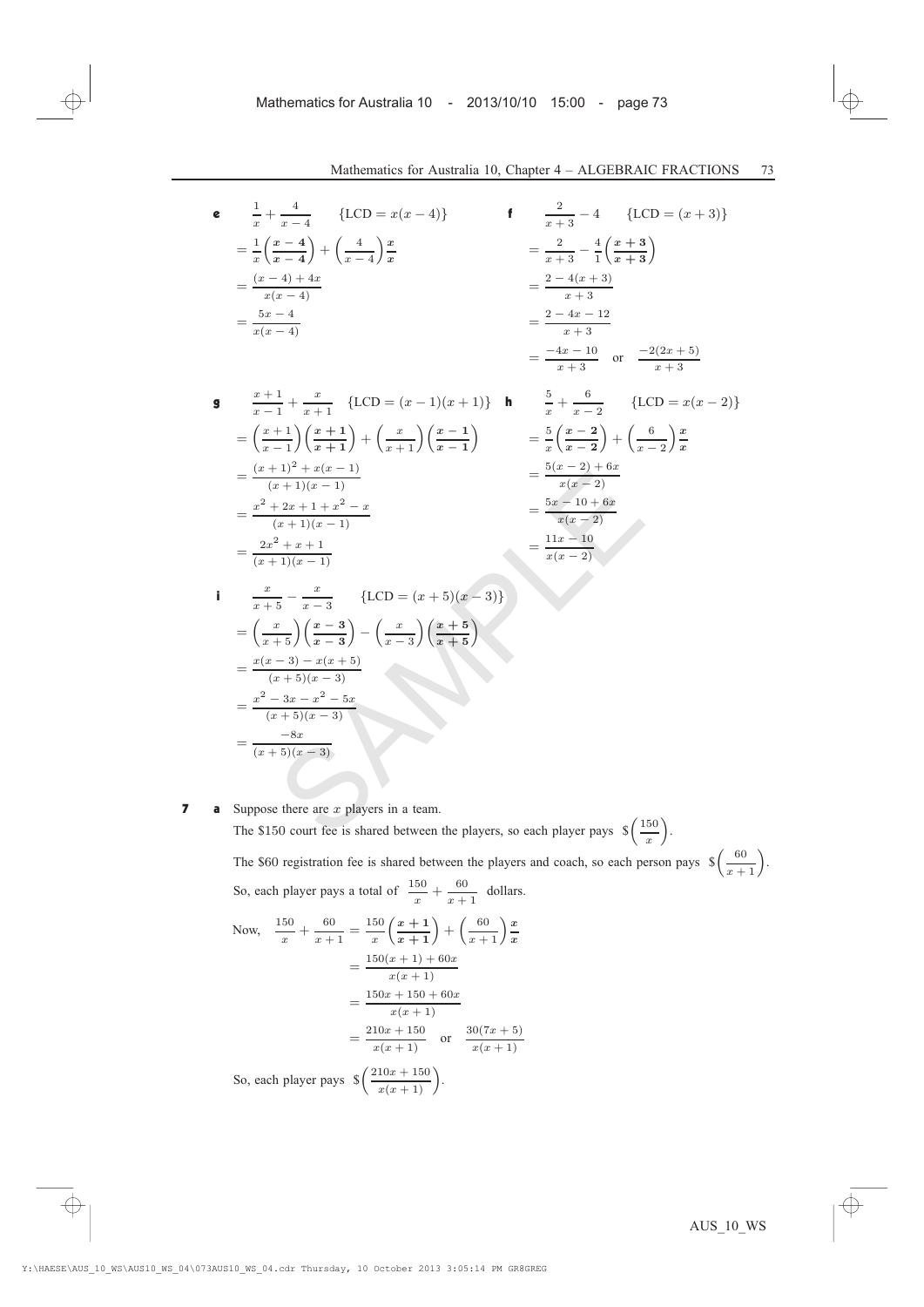{ $LCD = x(x - 2)$ }

 $+\left(-\frac{6}{2}\right)$  $x - 2$  $\bigg)\frac{x}{x}$ 

e 
$$
\frac{1}{x} + \frac{4}{x-4}
$$
 {LCD =  $x(x-4)$ }  
\n
$$
= \frac{1}{x} \left( \frac{x-4}{x-4} \right) + \left( \frac{4}{x-4} \right) \frac{x}{x}
$$
\n
$$
= \frac{(x-4)+4x}{x(x-4)}
$$
\n
$$
= \frac{5x-4}{x(x-4)}
$$
\n
$$
= \frac{5x-4}{x+3}
$$
\n
$$
= \frac{-4x-10}{x+3}
$$
\n
$$
= \frac{-4x-10}{x+3}
$$
\n
$$
= \frac{-2(2x+5)}{x+3}
$$

$$
\begin{aligned}\n\mathbf{g} \quad & \frac{x+1}{x-1} + \frac{x}{x+1} \quad \{LCD = (x-1)(x+1)\} \quad \mathbf{h} \quad & \frac{5}{x} + \frac{6}{x-2} \\
& = \left(\frac{x+1}{x-1}\right)\left(\frac{x+1}{x+1}\right) + \left(\frac{x}{x+1}\right)\left(\frac{x-1}{x-1}\right) \\
& = \frac{(x+1)^2 + x(x-1)}{(x+1)(x-1)} \\
& = \frac{x^2 + 2x + 1 + x^2 - x}{(x+1)(x-1)} \\
& = \frac{2x^2 + x + 1}{(x+1)(x-1)} \\
& = \frac{2x^2 + x + 1}{(x+1)(x-1)} \\
& = \frac{11x - 10}{x(x-2)} \\
& = \frac{11x - 10}{x(x-2)}\n\end{aligned}
$$

<sup>i</sup> <sup>x</sup> <sup>x</sup> + 5 ¡ <sup>x</sup> <sup>x</sup> ¡ <sup>3</sup> <sup>f</sup>LCD = (<sup>x</sup> + 5)(<sup>x</sup> ¡ 3)<sup>g</sup> = ³ <sup>x</sup> <sup>x</sup> + 5´³ <sup>x</sup> ¡ <sup>3</sup> x ¡ 3 ´ ³ <sup>x</sup> <sup>x</sup> ¡ <sup>3</sup> ´³<sup>x</sup> + 5 <sup>x</sup> + 5 ´ <sup>=</sup> <sup>x</sup>(<sup>x</sup> ¡ 3) ¡ <sup>x</sup>(<sup>x</sup> + 5) (<sup>x</sup> + 5)(<sup>x</sup> ¡ 3) <sup>=</sup> <sup>x</sup><sup>2</sup> ¡ <sup>3</sup><sup>x</sup> ¡ <sup>x</sup><sup>2</sup> ¡ <sup>5</sup><sup>x</sup> (<sup>x</sup> + 5)(<sup>x</sup> ¡ 3) <sup>=</sup> ¡8<sup>x</sup> (<sup>x</sup> + 5)(<sup>x</sup> ¡ 3) SAMPLE

**7 a** Suppose there are  $x$  players in a team.

The \$150 court fee is shared between the players, so each player pays  $\sqrt[5]{\frac{150}{x}}$ ´ . The \$60 registration fee is shared between the players and coach, so each person pays  $\sqrt{\frac{60}{x+1}}$ . So, each player pays a total of  $\frac{150}{x} + \frac{60}{x+}$  $\frac{00}{x+1}$  dollars.

Now, 
$$
\frac{150}{x} + \frac{60}{x+1} = \frac{150}{x} \left(\frac{x+1}{x+1}\right) + \left(\frac{60}{x+1}\right) \frac{x}{x}
$$

$$
= \frac{150(x+1) + 60x}{x(x+1)}
$$

$$
= \frac{150x + 150 + 60x}{x(x+1)}
$$

$$
= \frac{210x + 150}{x(x+1)} \text{ or } \frac{30(7x+5)}{x(x+1)}
$$
  
So, each player pays  $\oint \left(\frac{210x + 150}{x(x+1)}\right)$ .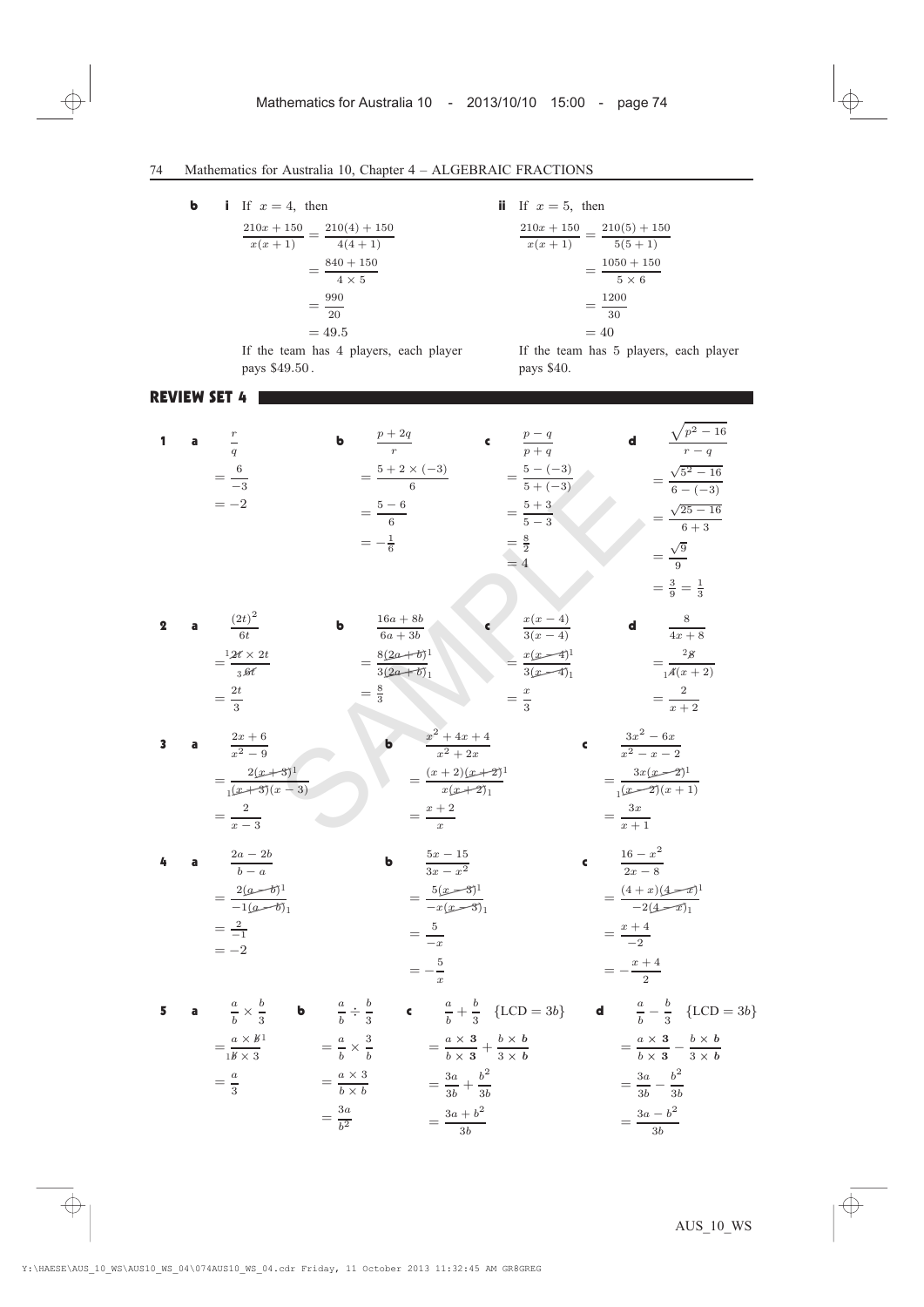**b** i If  $x = 4$ , then

$$
\frac{210x + 150}{x(x+1)} = \frac{210(4) + 150}{4(4+1)}
$$

$$
= \frac{840 + 150}{4 \times 5}
$$

$$
= \frac{990}{20}
$$

$$
= 49.5
$$

ii If  $x = 5$ , then

pays \$40.

$$
\frac{210x + 150}{x(x+1)} = \frac{210(5) + 150}{5(5+1)}
$$

$$
= \frac{1050 + 150}{5 \times 6}
$$

$$
= \frac{1200}{30}
$$

$$
= 40
$$

If the team has 5 players, each player

If the team has 4 players, each player pays \$49:50 .

> $b \times b$  $=\frac{3a}{b^2}$

#### REVIEW SET 4

1 **a** 
$$
\frac{r}{q}
$$
 **b**  $\frac{p+2q}{r}$  **c**  $\frac{p-q}{p+q}$  **d**  $\frac{\sqrt{p^2-16}}{r-q}$   
\n $=\frac{6}{-3}$   $=\frac{5-6}{6}$   $=\frac{5-(-3)}{5+(-3)}$   $=\frac{\sqrt{5^2-16}}{6-(-3)}$   
\n $=\frac{-1}{-6}$   $=\frac{5-3}{5-3}$   $=\frac{\sqrt{5^2-16}}{6-(-3)}$   
\n $=\frac{1}{-6}$   $=\frac{5}{3}$   $=\frac{3}{4}$   $=\frac{\sqrt{25-16}}{6-(-3)}$   
\n $=\frac{1}{4}$   $=\frac{8}{4}$   $=\frac{2(2r+6)}{3(2r+6)}$   
\n $=\frac{2r+6}{3}$   $=\frac{8(2a+6)}{3}$   $=\frac{3}{4}(2a+6)$   
\n $=\frac{2r+6}{3}$   $=\frac{8(2a+6)}{3}$   $=\frac{2}{3}$   $=\frac{2}{-2}$   
\n $=\frac{2(x+3)^1}{(x+3)(x-3)}$   $=\frac{x+2}{x^2+x^2+x}$   $=\frac{3x^2-6x}{x^2-2}$   
\n $=\frac{2(x+3)^1}{(x+3)(x-3)}$   $=\frac{x+2}{x^2-x}$   $=\frac{3x}{x+1}$   
\n4 **a**  $\frac{2a-2b}{b-a}$  **b**  $\frac{5x-15}{3x-x^2}$  **c**  $\frac{3a-2}{2x-8}$   
\n $=\frac{2(a-6)^1}{-1}$   $=\frac{5}{-x}$   $=\frac{5}{-x}$   $=\frac{4+2}{-2}$   
\n $=-2$   $=-\frac{5}{x}$   $=\frac{x+4}{-2}$   
\n5 **a**  $\frac{a}{b} \times \frac{b}{3}$ 

3b

 $=\frac{3a-b^2}{3b}$ 

 $=\frac{3a+b^2}{3b}$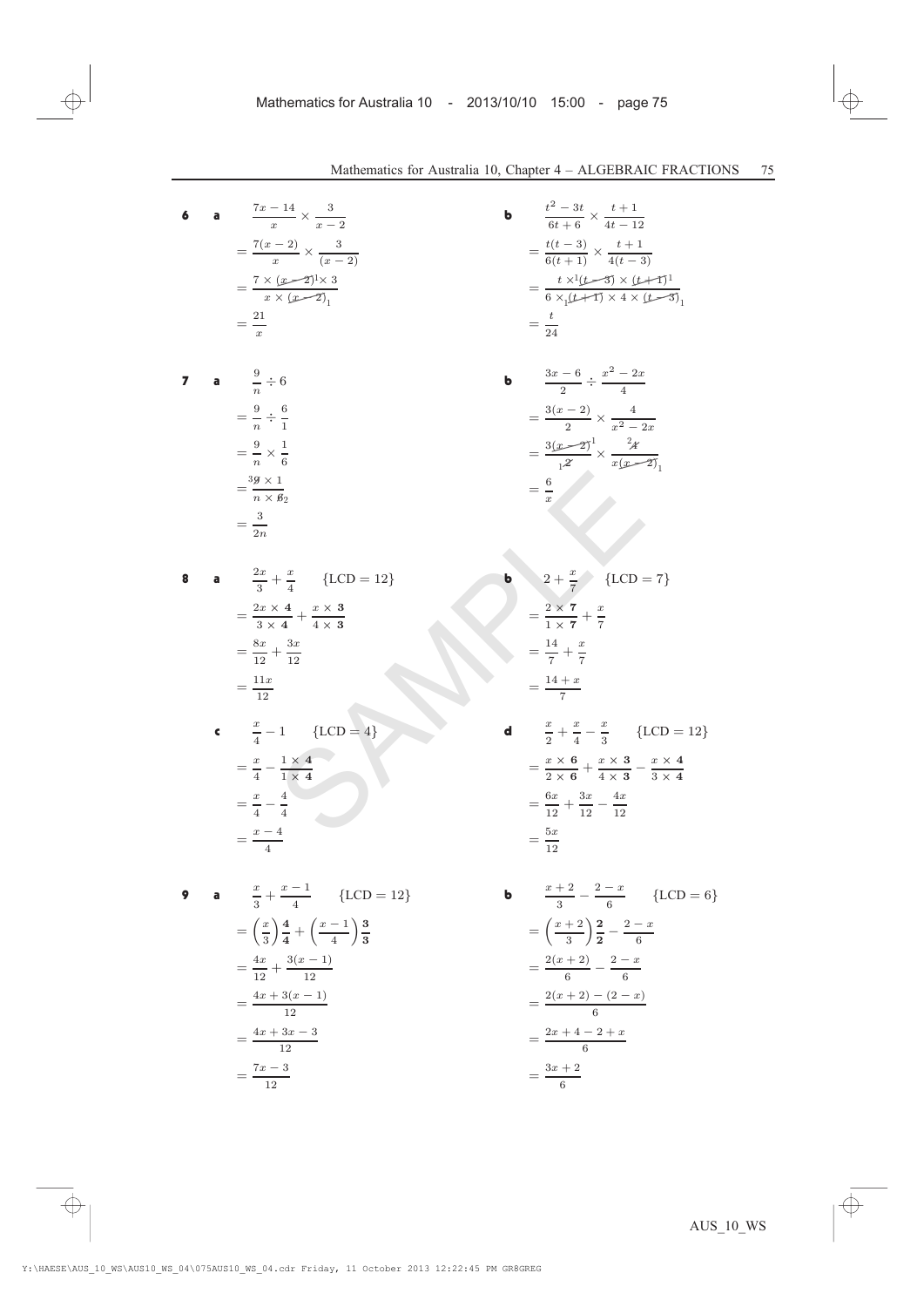$=\frac{3x+2}{6}$ 

6 **a** 
$$
\frac{7x-14}{x} \times \frac{3}{x-2}
$$
  
\n $= \frac{7(x-2)}{x} \times \frac{3}{(x-2)}$   
\n $= \frac{7(x-2)\sqrt{3}}{x} \times \frac{1}{(x-2)}$   
\n $= \frac{7(x-2)\sqrt{3}}{x} \times \frac{1}{(x-2)}$   
\n $= \frac{7(x-2)\sqrt{3}}{x} \times \frac{1}{(x-2)}$   
\n $= \frac{7(x-2)\sqrt{3}}{x} \times \frac{1}{(x-2)}$   
\n $= \frac{7(x-2)\sqrt{3}}{x} \times \frac{1}{(x-2)}$   
\n $= \frac{7(x-2)\sqrt{3}}{x} \times \frac{1}{(x-2)}$   
\n $= \frac{7(x-2)\sqrt{3}}{x} \times \frac{1}{(x-2)}$   
\n $= \frac{7(x-2)\sqrt{3}}{x} \times \frac{1}{(x-2)}$   
\n $= \frac{7(x-2)\sqrt{3}}{x} \times \frac{1}{(x-2)}$   
\n $= \frac{7(x-2)\sqrt{3}}{x} \times \frac{1}{(x-2)}$   
\n $= \frac{7(x-2)\sqrt{3}}{x} \times \frac{1}{(x-2)}$   
\n $= \frac{7(x-2)\sqrt{3}}{x} \times \frac{1}{(x-2)}$   
\n $= \frac{7(x-2)\sqrt{3}}{x} \times \frac{1}{(x-2)}$   
\n $= \frac{7(x-2)\sqrt{3}}{x} \times \frac{1}{(x-2)}$   
\n $= \frac{8(x-2)\sqrt{3}}{x^2} \times \frac{2}{x^2-2x}$   
\n $= \frac{3(x-2)\sqrt{3}}{x^2} \times \frac{2}{x^2-2x}$   
\n $= \frac{3(x-2)\sqrt{3}}{x^2} \times \frac{1}{x^2-2x}$   
\n $= \frac{3(x-2)\sqrt{3}}{x^2} \times \frac{1}{x^2-2x}$   
\n $= \frac{3(x-2)\sqrt{3}}{x^2} \times \frac{1}{x^2-2x}$   
\n $= \frac{3(x-2)\sqrt{$ 

$$
=\frac{7x-3}{12}
$$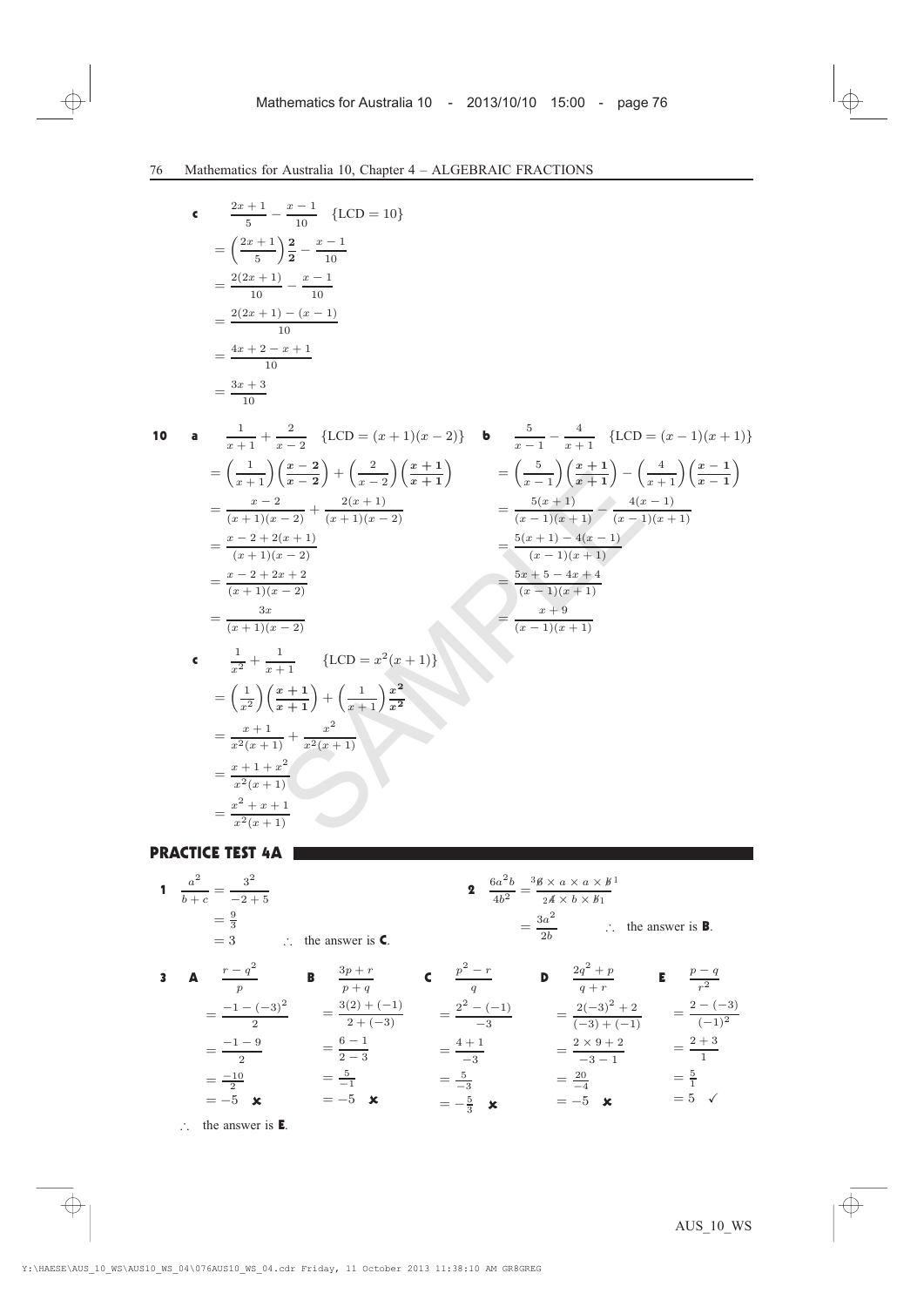$$
\begin{aligned}\n\mathbf{c} \qquad & \frac{2x+1}{5} - \frac{x-1}{10} \quad \{\text{LCD} = 10\} \\
& = \left(\frac{2x+1}{5}\right) \frac{2}{2} - \frac{x-1}{10} \\
& = \frac{2(2x+1)}{10} - \frac{x-1}{10} \\
& = \frac{2(2x+1) - (x-1)}{10} \\
& = \frac{4x+2-x+1}{10} \\
& = \frac{3x+3}{10}\n\end{aligned}
$$

10 **a** 
$$
\frac{1}{x+1} + \frac{2}{x-2} \{LCD = (x+1)(x-2)\} \qquad \mathbf{b} \qquad \frac{5}{x-1} - \frac{4}{x+1} \{LCD = (x-1)(x+1)\}
$$

$$
= \left(\frac{1}{x+1}\right)\left(\frac{x-2}{x-2}\right) + \left(\frac{2}{x-2}\right)\left(\frac{x+1}{x+1}\right) \qquad = \left(\frac{5}{x-1}\right)\left(\frac{x+1}{x+1}\right) - \left(\frac{4}{x+1}\right)\left(\frac{x-1}{x-1}\right)
$$

$$
= \frac{x-2}{(x+1)(x-2)} + \frac{2(x+1)}{(x+1)(x-2)} \qquad = \frac{5(x+1)}{(x-1)(x+1)} - \frac{4(x-1)}{(x-1)(x+1)}
$$

$$
= \frac{x-2+2x+2}{(x+1)(x-2)}
$$

$$
= \frac{3x}{(x+1)(x-2)}
$$

$$
= \frac{3x}{(x+1)(x-2)}
$$

$$
= \frac{5x+5-4x+4}{(x-1)(x+1)}
$$

$$
= \frac{x+9}{(x-1)(x+1)}
$$

$$
= \left(\frac{1}{x^2}\right)\left(\frac{x+1}{x+1}\right) + \left(\frac{1}{x+1}\right)\frac{x^2}{x^2}
$$

$$
= \frac{x+1}{x^2(x+1)}
$$

$$
= \frac{x+1+x^2}{x^2(x+1)}
$$

$$
= \frac{x^2+x+1}{x^2(x+1)}
$$

PRACTICE TEST 4A

 $=\frac{x+1+x^2}{x^2(x+1)}$ 

 $=\frac{x^2+x+1}{x^2(x+1)}$ 

1 
$$
\frac{a^2}{b+c} = \frac{3^2}{-2+5}
$$
  
\n $= \frac{9}{3}$   
\n $= 3$   $\therefore$  the answer is **C**.  
\n3 **A**  $\frac{r-q^2}{p}$  **B**  $\frac{3p+r}{p+q}$  **C**  $\frac{p^2-r}{q}$  **D**  $\frac{2q^2+p}{q+r}$  **E**  $\frac{p-q}{r^2}$   
\n $= \frac{-1-(-3)^2}{2}$   $= \frac{3(2)+(-1)}{2+(-3)}$   $= \frac{2^2-(-1)}{-3}$   $= \frac{2(-3)^2+2}{(-3)+(-1)}$   $= \frac{2-(-3)}{(-1)^2}$   
\n $= \frac{-1-9}{2}$   $= \frac{6-1}{2-3}$   $= \frac{4+1}{-3}$   $= \frac{2 \times 9+2}{-3-1}$   $= \frac{2+3}{1}$   
\n $= -5$  **x**  $= -5$  **x**  $= -5$  **x**  $= -5$  **x**  $= 5$  **y**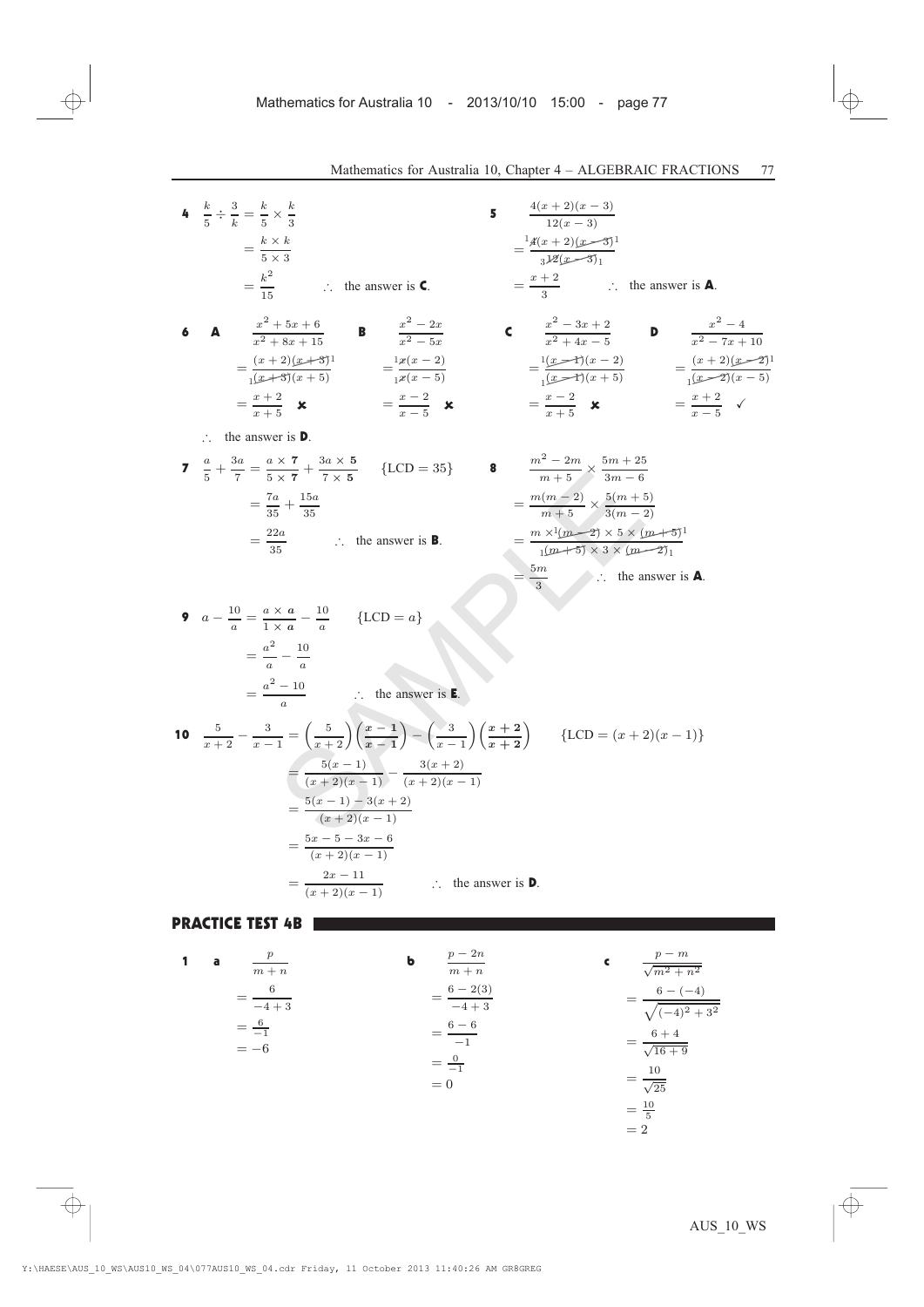1

4 
$$
\frac{k}{5} \div \frac{3}{k} = \frac{k}{5} \times \frac{k}{3}
$$
  
\n $= \frac{k \times k}{5 \times 3}$   
\n $= \frac{k^2}{5 \times 3}$   
\n $= \frac{k^2}{15}$   
\n $\therefore$  the answer is **C**.  
\n6 **A**  $\frac{x^2 + 5x + 6}{x^2 + 8x + 15}$  **B**  $\frac{x^2 - 2x}{x^2 - 5x}$  **C**  $\frac{x^2 - 3x + 2}{x^2 + 4x - 5}$  **D**  $\frac{x^2 - 4}{x^2 - 7x + 10}$   
\n $= \frac{(x + 2)(x + 3)}{(x + 3)(x + 5)}$   $= \frac{x(x - 2)}{x(x - 5)}$   $= \frac{1}{(x - 1)(x - 2)}$   $= \frac{(x + 2)(x - 2)}{(x - 2)(x - 5)}$   
\n $= \frac{x + 2}{x + 5}$  **X**  $= \frac{x - 2}{x - 5}$  **X**  $\frac{m^2 - 2m}{m + 5}$   $\times \frac{5m + 25}{3m - 6}$   
\n $= \frac{7a}{35}$   $\therefore$  the answer is **B**.  
\n7  $\frac{a}{5} + \frac{3a}{7} = \frac{a \times 7}{5 \times 7} + \frac{3a \times 5}{7 \times 5}$  {LCD = 35} **8**  $\frac{m^2 - 2m}{m + 5} \times \frac{5m + 25}{3m - 6}$   
\n $= \frac{7a}{35}$   $\therefore$  the answer is **B**.  
\n9  $a - \frac{10}{a} = \frac{a \times a}{1 \times a} - \frac{10}{a}$  {LCD = a}  
\n $= \frac{a^2 - 10}{a}$   $\therefore$  the answer is **E**.  
\n10  $\frac{5}{x + 2} - \frac{3}{x - 1} = (\frac{5}{x + 2})(\frac{x - 1}{x - 1}) - (\frac{3}{x - 1})($ 

### PRACTICE TEST 4B

1 **a** 
$$
\frac{p}{m+n}
$$
  
\n $\frac{6}{-4+3}$   
\n $\frac{6}{-1}$   
\n $\frac{6-2(3)}{-4+3}$   
\n $\frac{6-6}{-1}$   
\n $\frac{6-6}{-1}$   
\n $\frac{6}{-1}$   
\n $\frac{6-4}{\sqrt{16+9}}$   
\n $\frac{6}{2}$   
\n $\frac{6-4}{\sqrt{16+9}}$   
\n $\frac{6}{2}$   
\n $\frac{6+4}{\sqrt{16+9}}$   
\n $\frac{10}{\sqrt{25}}$   
\n $\frac{10}{5}$   
\n $\frac{10}{5}$   
\n $\frac{10}{5}$   
\n $\frac{10}{5}$   
\n $\frac{10}{5}$   
\n $\frac{10}{5}$   
\n $\frac{10}{5}$   
\n $\frac{10}{5}$   
\n $\frac{10}{5}$   
\n $\frac{10}{5}$   
\n $\frac{10}{5}$   
\n $\frac{10}{5}$   
\n $\frac{10}{5}$   
\n $\frac{10}{5}$   
\n $\frac{10}{5}$   
\n $\frac{10}{5}$   
\n $\frac{10}{5}$   
\n $\frac{10}{5}$   
\n $\frac{10}{5}$   
\n $\frac{10}{5}$   
\n $\frac{10}{5}$   
\n $\frac{10}{5}$   
\n $\frac{10}{5}$   
\n $\frac{10}{5}$   
\n $\frac{10}{5}$   
\n $\frac{10}{5}$   
\n $\frac{10}{5}$   
\n $\frac{10}{5}$   
\n $\frac{10}{5}$   
\n $\frac{10}{5}$   
\n $\frac{10}{5}$   
\n $\frac{10}{5}$   
\n $\frac{10}{5}$   
\n $\frac{10}{5}$   
\n $\frac{10}{5}$   
\n $\$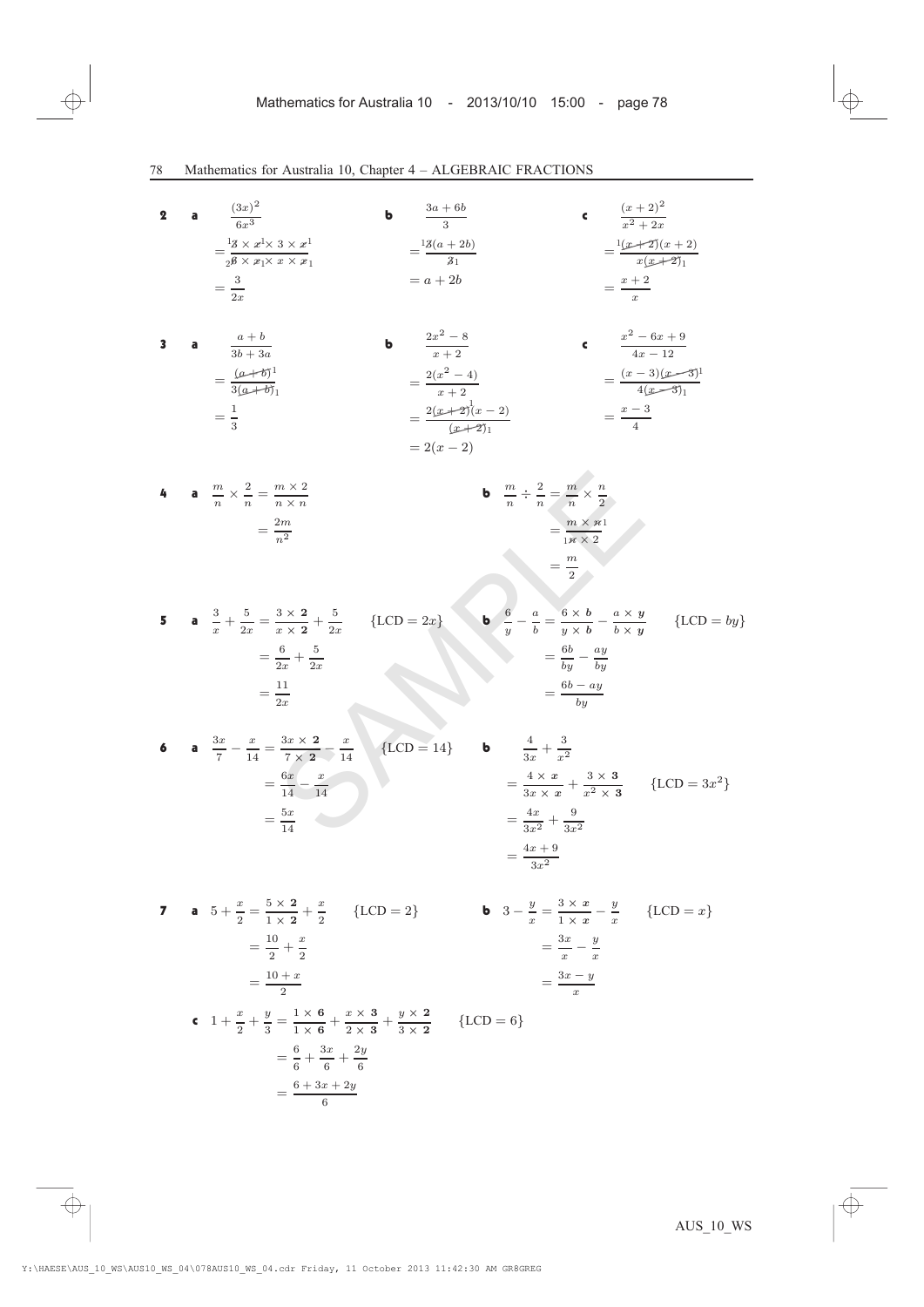2 **a** 
$$
\frac{(3x)^2}{6x^3}
$$
 **b**  $\frac{3a+6b}{3}$  **c**  $\frac{(x+2)^2}{x^2+x}$   
\n $=\frac{1}{26} \times x |x \times x |$   $= \frac{13(a+2b)}{31}$   $= \frac{12(x+2)(x+2)}{x+2x}$   
\n $= \frac{3}{2x}$  **2 3 a**  $\frac{a+b}{3b+3a}$  **b**  $\frac{2x^2-8}{x+2}$  **c**  $\frac{x^2-6x+9}{4x-12}$   
\n $= \frac{(a+6b)}{3(a+bb)}$   $= \frac{2(x+2)(x-3)}{x+2}$  **c**  $\frac{x^2-6x+9}{4(x-3)}$   
\n $= \frac{1}{3}$   $= \frac{2(x+2)(x-3)}{(x+2)(x-3)}$   $= \frac{x-3}{4}$   
\n**4 a**  $\frac{m}{n} \times \frac{2}{n} = \frac{m \times 2}{n}$  **b**  $\frac{m}{n} \div \frac{2}{n} = \frac{m}{n} \times \frac{n}{2}$   
\n $= \frac{m \times n}{2n}$   $= \frac{m \times n}{n \times 2}$   
\n**5 a**  $\frac{3}{x} + \frac{5}{2x} = \frac{3 \times 2}{x \times 2} + \frac{5}{2x}$  {LCD = 2x} **b**  $\frac{6}{y} - \frac{a}{b} = \frac{6 \times b}{y} - \frac{a \times y}{b \times y}$  {LCD = by}  
\n $= \frac{6b}{2x} - \frac{ay}{by}$   $= \frac{6b - ay}{by}$   
\n**6 a**  $\frac{3x}{7} - \frac{x}{14} = \frac{3x \times 2}{7 \times 2} - \frac{x}{14}$  {LCD = 14} **b**  $\frac{4}{3x} + \frac{3}{x^2}$   
\n $= \frac{6b - ay}{3x$ 

 $=\frac{3x-y}{x}$ 

$$
= \frac{6}{6} + \frac{3x}{6} + \frac{2y}{6}
$$

$$
= \frac{6 + 3x + 2y}{6}
$$

c  $1 + \frac{x}{2} + \frac{y}{3} = \frac{1 \times 6}{1 \times 6} + \frac{x \times 3}{2 \times 3} + \frac{y \times 2}{3 \times 2}$  {LCD = 6}

6

 $=\frac{10 + x}{2}$ 

 $=\frac{6}{6}+\frac{3x}{6}$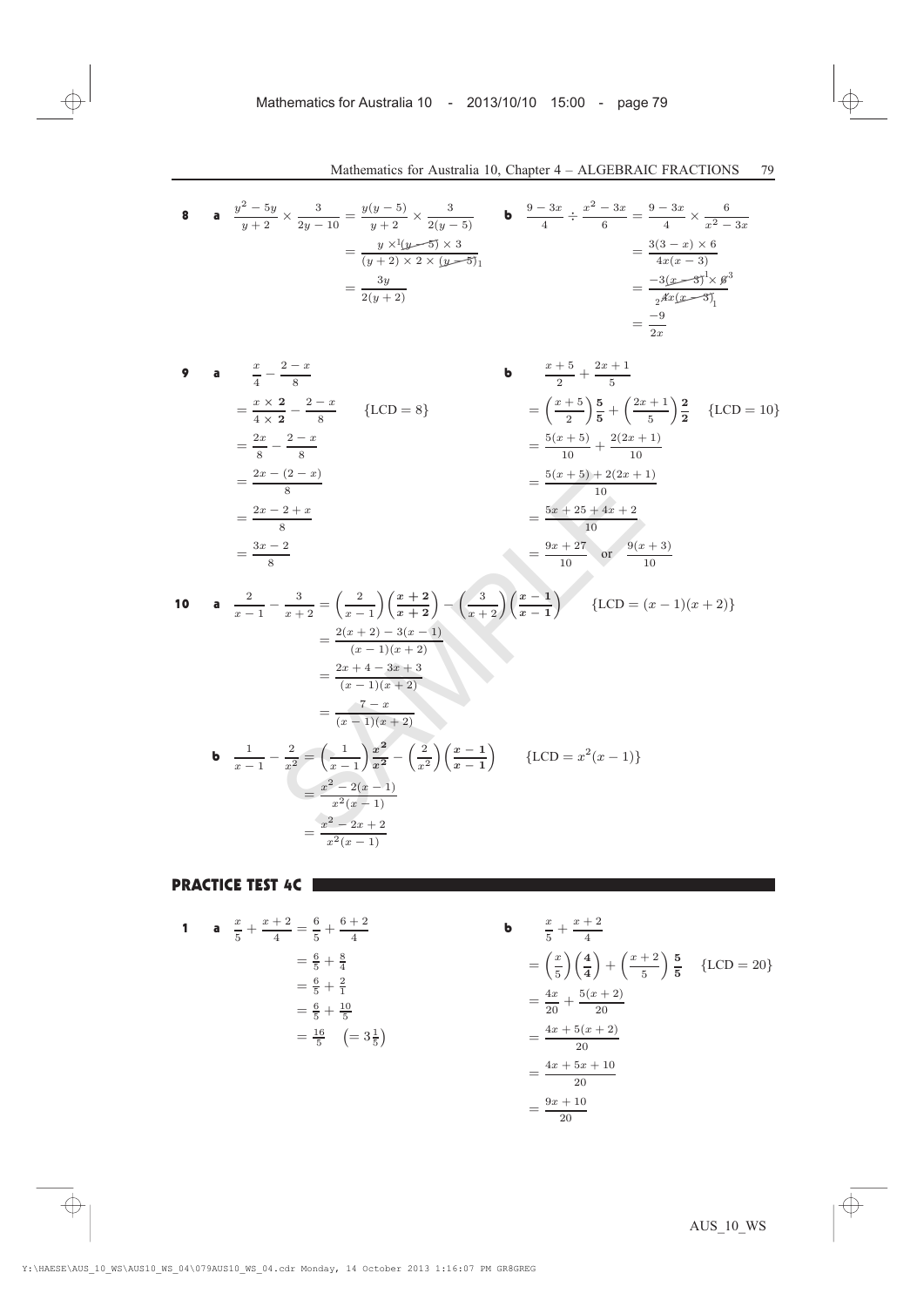8 **a** 
$$
\frac{y^2 - 5y}{y + 2} \times \frac{3}{2y - 10} = \frac{y(y - 5)}{y + 2} \times \frac{3}{2(y - 5)}
$$
  
\n
$$
= \frac{y \times 1(y - 5) \times 3}{(y + 2) \times 2 \times (y - 5)}
$$
  
\n
$$
= \frac{3y}{2(y + 2)}
$$
  
\n
$$
= \frac{-3}{2x} \times \frac{3}{x^2 - 3x}
$$
  
\n
$$
= \frac{9 - 3x}{4} \div \frac{x^2 - 3x}{6} = \frac{9 - 3x}{4} \times \frac{6}{x^2 - 3x}
$$
  
\n
$$
= \frac{3(3 - x) \times 6}{4x(x - 3)}
$$
  
\n
$$
= \frac{-3(x - 3)^1 \times 6^3}{2x^2 - 3x}
$$
  
\n
$$
= \frac{-3(x - 3)^1 \times 6^3}{2x^2 - 3x}
$$
  
\n
$$
= \frac{-3(x - 3)^1 \times 6^3}{2x^2 - 3x}
$$
  
\n
$$
= \frac{-9}{2x}
$$

9 **a** 
$$
\frac{x}{4} - \frac{2-x}{8}
$$
  
\n $= \frac{x \times 2}{4 \times 2} - \frac{2-x}{8}$  {LCD = 8}  
\n $= \frac{2x}{8} - \frac{2-x}{8}$   
\n $= \frac{2x - (2-x)}{8}$   
\n $= \frac{2x - 2 + x}{8}$   
\n $= \frac{3x - 2}{8}$   
\n $= \frac{3x - 2}{8}$   
\n $= \frac{3x - 2}{8}$   
\n $= \frac{3x - 2}{8}$   
\n $= \frac{5(x + 5) + 2(2x + 1)}{10}$   
\n $= \frac{5x + 25 + 4x + 2}{10}$   
\n $= \frac{9x + 27}{10}$  or  $\frac{9(x + 3)}{10}$ 

$$
= \frac{2x - (2 - x)}{8}
$$
  
\n
$$
= \frac{2x - 2 + x}{8}
$$
  
\n
$$
= \frac{3x - 2}{8}
$$
  
\n10 **a** 
$$
\frac{2}{x - 1} - \frac{3}{x + 2} = \left(\frac{2}{x - 1}\right) \left(\frac{x + 2}{x + 2}\right) - \left(\frac{3}{x + 2}\right) \left(\frac{x - 1}{x - 1}\right)
$$
  
\n
$$
= \frac{2(x + 2) - 3(x - 1)}{(x - 1)(x + 2)}
$$
  
\n
$$
= \frac{2x + 4 - 3x + 3}{(x - 1)(x + 2)}
$$
  
\n
$$
= \frac{7 - x}{(x - 1)(x + 2)}
$$
  
\n**b** 
$$
\frac{1}{x - 1} - \frac{2}{x^2} = \left(\frac{1}{x - 1}\right) \frac{x^2}{x^2} - \left(\frac{2}{x^2}\right) \left(\frac{x - 1}{x - 1}\right)
$$
  
\n
$$
= \frac{x^2 - 2(x - 1)}{x^2(x - 1)}
$$
  
\n
$$
= \frac{x^2 - 2x + 2}{x^2(x - 1)}
$$
  
\n
$$
= \frac{x^2 - 2x + 2}{x^2(x - 1)}
$$
  
\n
$$
= \frac{x^2 - 2x + 2}{x^2(x - 1)}
$$
  
\n
$$
= \frac{x^2 - 2x + 2}{x^2(x - 1)}
$$

#### PRACTICE TEST 4C **EXECUTED**

1 **a** 
$$
\frac{x}{5} + \frac{x+2}{4} = \frac{6}{5} + \frac{6+2}{4}
$$
  
\n $= \frac{6}{5} + \frac{8}{4}$   
\n $= \frac{6}{5} + \frac{2}{1}$   
\n $= \frac{6}{5} + \frac{10}{5}$   
\n $= \frac{16}{5} \quad (= 3\frac{1}{5})$   
\n $= \frac{4x}{20} + \frac{5(x+2)}{20}$   
\n $= \frac{4x+5(x+2)}{20}$   
\n $= \frac{4x+5x+10}{20}$   
\n $= \frac{9x+10}{20}$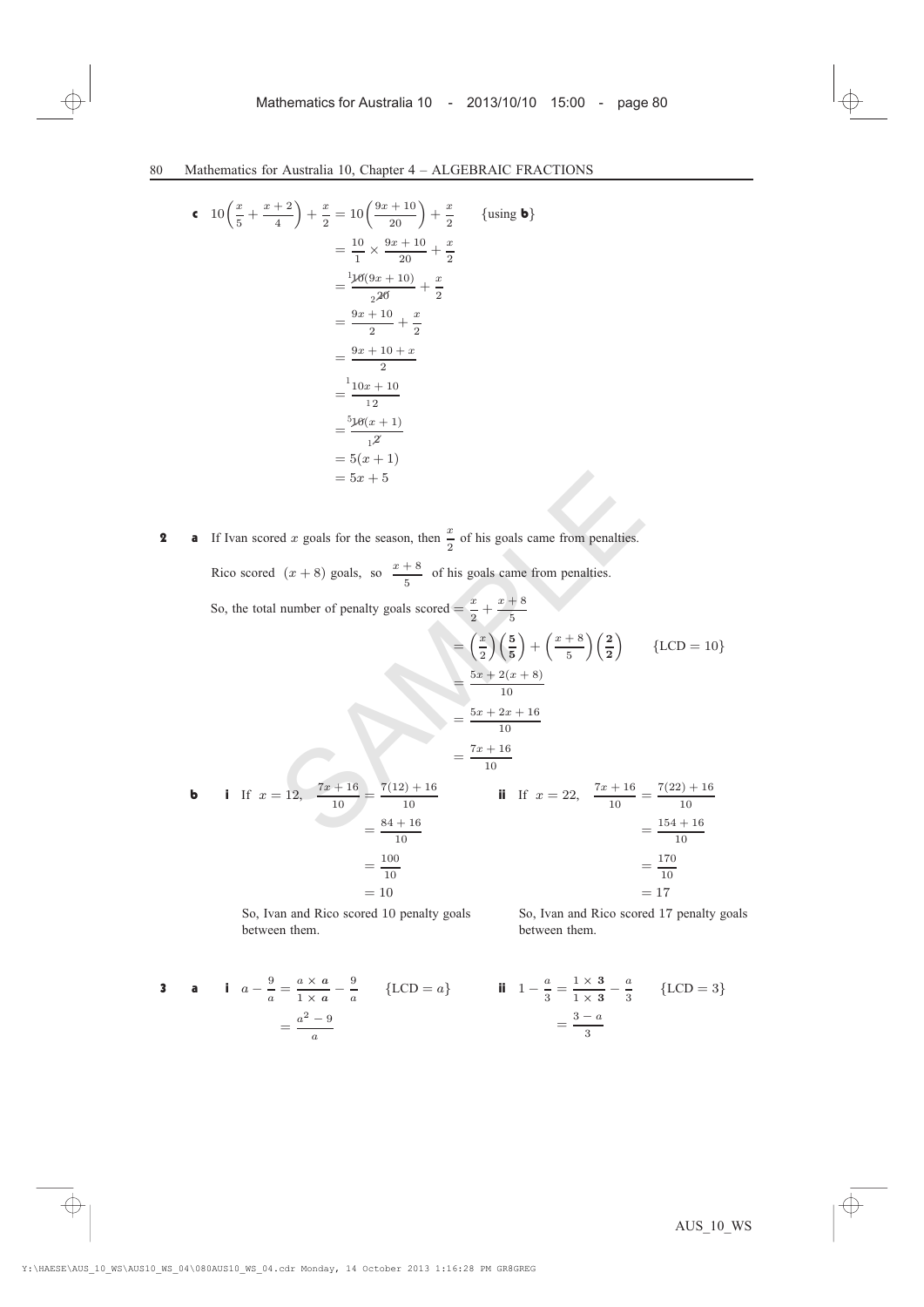$$
\begin{aligned}\n\mathbf{c} \quad 10\left(\frac{x}{5} + \frac{x+2}{4}\right) + \frac{x}{2} &= 10\left(\frac{9x+10}{20}\right) + \frac{x}{2} \qquad \{\text{using } \mathbf{b}\} \\
&= \frac{10}{1} \times \frac{9x+10}{20} + \frac{x}{2} \\
&= \frac{116(9x+10)}{226} + \frac{x}{2} \\
&= \frac{9x+10}{2} + \frac{x}{2} \\
&= \frac{9x+10+x}{2} \\
&= \frac{110x+10}{12} \\
&= \frac{516(x+1)}{12} \\
&= 5(x+1) \\
&= 5x+5\n\end{aligned}
$$
\n(using **b**)

**2** a If Ivan scored x goals for the season, then  $\frac{x}{2}$  of his goals came from penalties. Rico scored  $(x + 8)$  goals, so  $\frac{x + 8}{5}$  of his goals came from penalties.

$$
= 5x + 5
$$
\n**a** If Ivan scored *x* goals for the season, then  $\frac{x}{2}$  of his goals came from penalties.  
\nRico scored  $(x + 8)$  goals, so  $\frac{x + 8}{5}$  of his goals came from penalties.  
\nSo, the total number of penalty goals scored  $= \frac{x}{2} + \frac{x + 8}{5}$   
\n
$$
= \left(\frac{x}{2}\right) \left(\frac{5}{5}\right) + \left(\frac{x + 8}{5}\right) \left(\frac{2}{2}\right)
$$
 {LCD = 10}  
\n
$$
= \frac{5x + 2(x + 8)}{10}
$$
  
\n
$$
= \frac{5x + 2x + 16}{10}
$$
  
\n
$$
= \frac{5x + 2x + 16}{10}
$$
  
\n
$$
= \frac{5x + 2}{10}
$$
  
\n
$$
= \frac{5x + 2}{10}
$$
  
\n
$$
= \frac{5x + 2}{10}
$$
  
\n
$$
= \frac{5x + 2}{10}
$$
  
\n
$$
= \frac{5x + 2}{10}
$$
  
\n
$$
= \frac{5x + 2}{10}
$$
  
\n
$$
= \frac{5x + 2}{10}
$$
  
\n
$$
= \frac{5x + 2}{10}
$$
  
\n
$$
= \frac{5x + 16}{10}
$$
  
\n
$$
= \frac{5x + 16}{10}
$$
  
\n
$$
= \frac{7(22) + 16}{10}
$$
  
\n
$$
= \frac{154 + 16}{10}
$$
  
\n
$$
= \frac{154 + 16}{10}
$$
  
\n
$$
= \frac{170}{10}
$$
  
\n
$$
= 17
$$

So, Ivan and Rico scored 10 penalty goals between them.

3 **a i** 
$$
a - \frac{9}{a} = \frac{a \times a}{1 \times a} - \frac{9}{a}
$$
 {LCD = a} **ii**  $1 - \frac{a}{3} = \frac{1 \times 3}{1 \times 3} - \frac{a}{3}$  {LCD = 3}  
 $= \frac{a^2 - 9}{a}$ 

So, Ivan and Rico scored 17 penalty goals

between them.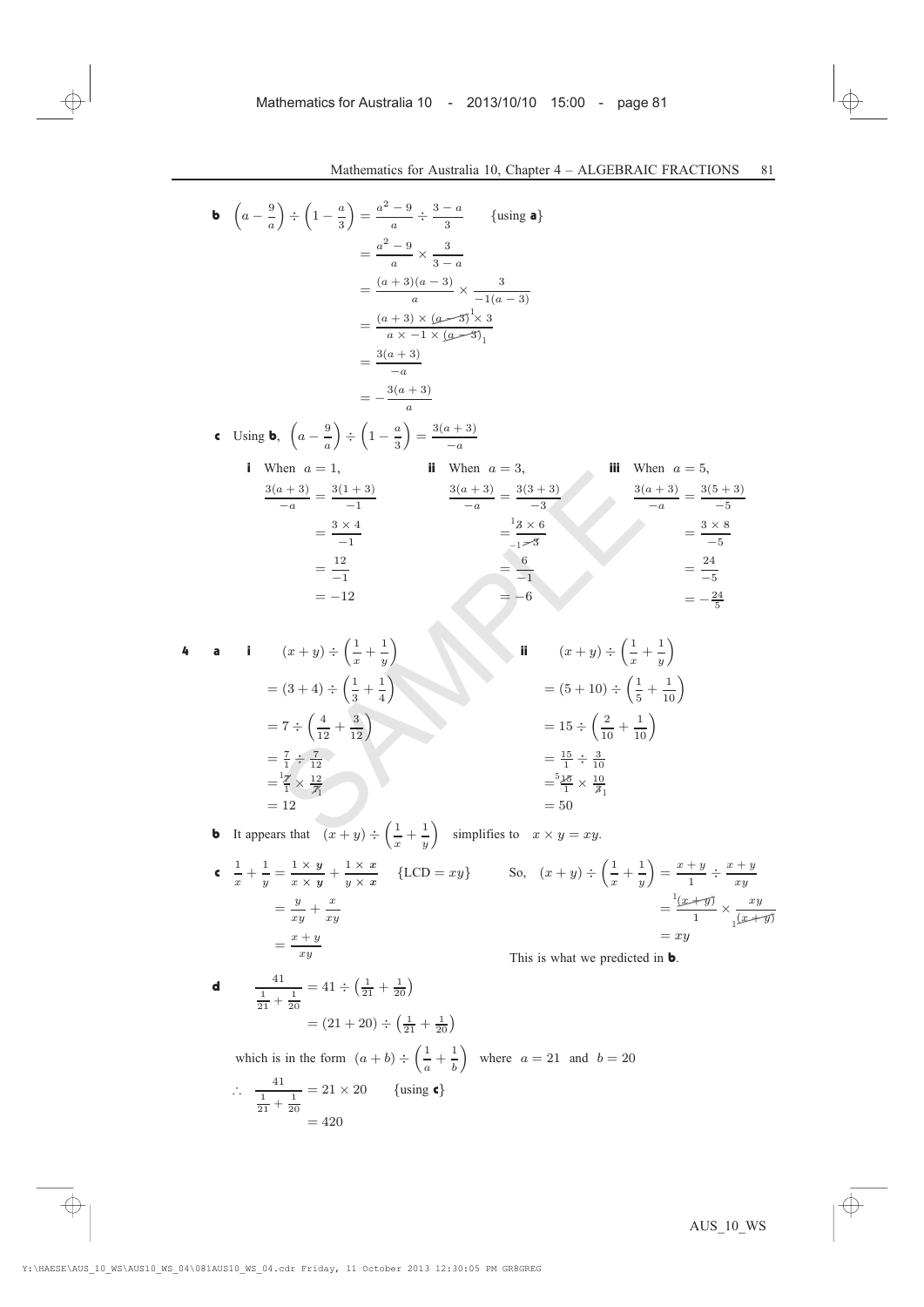**b** 
$$
\left(a - \frac{9}{a}\right) \div \left(1 - \frac{a}{3}\right) = \frac{a^2 - 9}{a} \div \frac{3 - a}{3}
$$
 {using **a**}  
\n
$$
= \frac{a^2 - 9}{a} \times \frac{3}{3 - a}
$$
\n
$$
= \frac{(a + 3)(a - 3)}{a} \times \frac{3}{-1(a - 3)}
$$
\n
$$
= \frac{(a + 3) \times (a - 3)}{a \times -1 \times (a - 3)}
$$
\n
$$
= \frac{3(a + 3)}{a}
$$
\n
$$
= -\frac{3(a + 3)}{a}
$$
\n**c** Using **b**,  $\left(a - \frac{9}{a}\right) \div \left(1 - \frac{a}{3}\right) = \frac{3(a + 3)}{-a}$   
\n**i** When  $a = 1$ , **ii** When  $a = 3$ , **iii** When  $a = 5$ ,  
\n
$$
\frac{3(a + 3)}{-a} = \frac{3(1 + 3)}{-1}
$$
\n
$$
= \frac{3 \times 4}{-1}
$$
\n
$$
= \frac{3 \times 4}{-1}
$$
\n
$$
= \frac{12}{-1}
$$
\n
$$
= -12
$$
\n
$$
= -12
$$
\n**a i**  $(x + y) \div \left(\frac{1}{x} + \frac{1}{y}\right)$ \n
$$
= (3 + 4) \div \left(\frac{1}{3} + \frac{1}{4}\right)
$$
\n
$$
= 7 \div \left(\frac{4}{12} + \frac{3}{12}\right)
$$
\n
$$
= \frac{1}{12}
$$
\n**b** It appears that  $(x + y) \div \left(\frac{1}{x} + \frac{1}{x}\right)$  simplifies to  $x \times y = xu$ .

4 **a i** 
$$
(x+y) \div \left(\frac{1}{x} + \frac{1}{y}\right)
$$
  
\n
$$
= (3+4) \div \left(\frac{1}{3} + \frac{1}{4}\right)
$$
\n
$$
= 7 \div \left(\frac{4}{12} + \frac{3}{12}\right)
$$
\n
$$
= \frac{7}{1} \div \frac{7}{12}
$$
\n
$$
= \frac{17}{12} \times \frac{12}{71}
$$
\n
$$
= 12
$$
\n
$$
= 50
$$
\n**ii**  $(x+y) \div \left(\frac{1}{x} + \frac{1}{y}\right)$ \n
$$
= (5+10) \div \left(\frac{1}{5} + \frac{1}{10}\right)
$$
\n
$$
= 15 \div \left(\frac{2}{10} + \frac{1}{10}\right)
$$
\n
$$
= \frac{15}{1} \div \frac{3}{10}
$$
\n
$$
= \frac{5 \cancel{16}}{1} \times \frac{10}{31}
$$
\n
$$
= 50
$$

**b** It appears that  $(x + y) \div \left(\frac{1}{x} + \frac{1}{y}\right)$  $\overline{y}$  $\int$  simplifies to  $x \times y = xy$ .

$$
\begin{aligned}\n\mathbf{c} \quad & \frac{1}{x} + \frac{1}{y} = \frac{1 \times y}{x \times y} + \frac{1 \times x}{y \times x} \quad \{\text{LCD} = xy\} \\
& = \frac{y}{xy} + \frac{x}{xy} \\
& = \frac{x + y}{xy}\n\end{aligned}
$$

So, 
$$
(x + y) \div \left(\frac{1}{x} + \frac{1}{y}\right) = \frac{x + y}{1} \div \frac{x + y}{xy}
$$
  

$$
= \frac{\cancel{(x + y)}}{1} \times \frac{xy}{\cancel{(x + y)}}
$$

$$
= xy
$$

This is what we predicted in **b**.

**d** 
$$
\frac{41}{\frac{1}{21} + \frac{1}{20}} = 41 \div \left(\frac{1}{21} + \frac{1}{20}\right)
$$

$$
= (21 + 20) \div \left(\frac{1}{21} + \frac{1}{20}\right)
$$

which is in the form 
$$
(a + b) \div \left(\frac{1}{a} + \frac{1}{b}\right)
$$
 where  $a = 21$  and  $b = 20$   
\n
$$
\therefore \frac{41}{\frac{1}{21} + \frac{1}{20}} = 21 \times 20 \quad \{\text{using } \epsilon\}
$$
\n
$$
= 420
$$